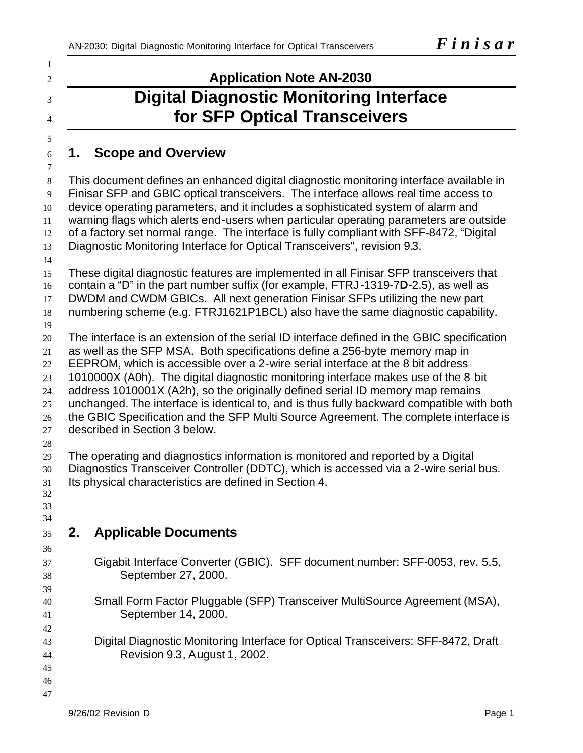# **Application Note AN-2030 Digital Diagnostic Monitoring Interface for SFP Optical Transceivers**

# **1. Scope and Overview**

 This document defines an enhanced digital diagnostic monitoring interface available in Finisar SFP and GBIC optical transceivers. The interface allows real time access to device operating parameters, and it includes a sophisticated system of alarm and warning flags which alerts end-users when particular operating parameters are outside of a factory set normal range. The interface is fully compliant with SFF-8472, "Digital Diagnostic Monitoring Interface for Optical Transceivers", revision 9.3. 

 These digital diagnostic features are implemented in all Finisar SFP transceivers that contain a "D" in the part number suffix (for example, FTRJ-1319-7**D**-2.5), as well as DWDM and CWDM GBICs. All next generation Finisar SFPs utilizing the new part numbering scheme (e.g. FTRJ1621P1BCL) also have the same diagnostic capability.

The interface is an extension of the serial ID interface defined in the GBIC specification

as well as the SFP MSA. Both specifications define a 256-byte memory map in

EEPROM, which is accessible over a 2-wire serial interface at the 8 bit address

1010000X (A0h). The digital diagnostic monitoring interface makes use of the 8 bit

address 1010001X (A2h), so the originally defined serial ID memory map remains

unchanged. The interface is identical to, and is thus fully backward compatible with both

the GBIC Specification and the SFP Multi Source Agreement. The complete interface is

- described in Section 3 below.
- 

 The operating and diagnostics information is monitored and reported by a Digital Diagnostics Transceiver Controller (DDTC), which is accessed via a 2-wire serial bus. Its physical characteristics are defined in Section 4.

 

# **2. Applicable Documents**

- Gigabit Interface Converter (GBIC). SFF document number: SFF-0053, rev. 5.5, September 27, 2000.
- Small Form Factor Pluggable (SFP) Transceiver MultiSource Agreement (MSA), September 14, 2000.
- Digital Diagnostic Monitoring Interface for Optical Transceivers: SFF-8472, Draft Revision 9.3, August 1, 2002.
- 
-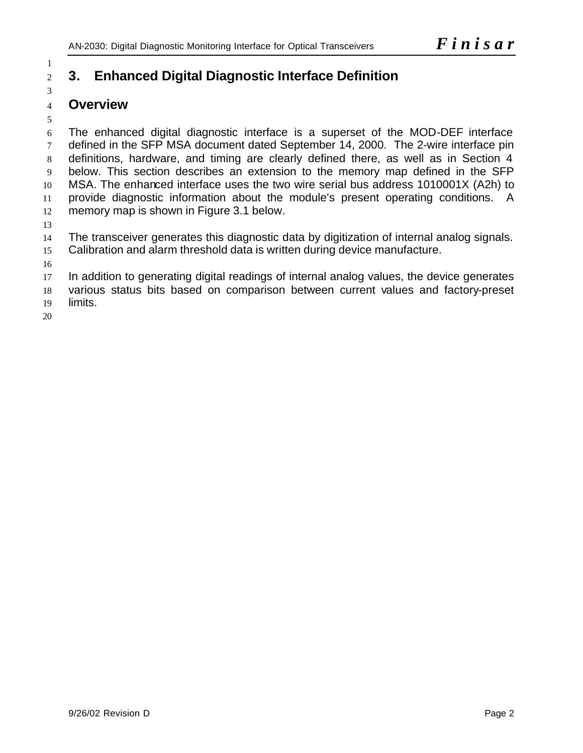# **3. Enhanced Digital Diagnostic Interface Definition**

# **Overview**

 The enhanced digital diagnostic interface is a superset of the MOD-DEF interface defined in the SFP MSA document dated September 14, 2000. The 2-wire interface pin definitions, hardware, and timing are clearly defined there, as well as in Section 4 below. This section describes an extension to the memory map defined in the SFP MSA. The enhanced interface uses the two wire serial bus address 1010001X (A2h) to provide diagnostic information about the module's present operating conditions. A memory map is shown in Figure 3.1 below.

 The transceiver generates this diagnostic data by digitization of internal analog signals. Calibration and alarm threshold data is written during device manufacture.

 In addition to generating digital readings of internal analog values, the device generates various status bits based on comparison between current values and factory-preset

limits.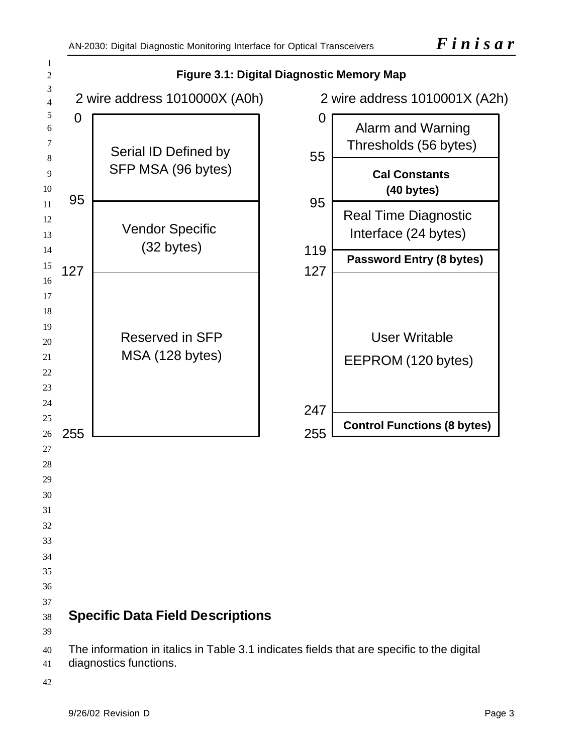

diagnostics functions.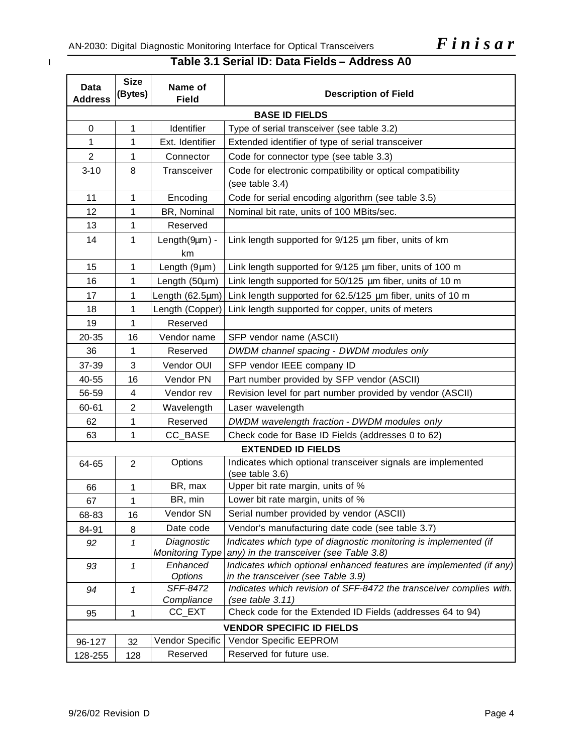# 1 **Table 3.1 Serial ID: Data Fields – Address A0**

| Data<br><b>Address</b>           | <b>Size</b><br>(Bytes) | Name of<br><b>Field</b>              | <b>Description of Field</b>                                                                                 |  |  |
|----------------------------------|------------------------|--------------------------------------|-------------------------------------------------------------------------------------------------------------|--|--|
| <b>BASE ID FIELDS</b>            |                        |                                      |                                                                                                             |  |  |
| 0                                | 1                      | Identifier                           | Type of serial transceiver (see table 3.2)                                                                  |  |  |
| 1                                | 1                      | Ext. Identifier                      | Extended identifier of type of serial transceiver                                                           |  |  |
| $\overline{2}$                   | 1                      | Connector                            | Code for connector type (see table 3.3)                                                                     |  |  |
| $3 - 10$                         | 8                      | Transceiver                          | Code for electronic compatibility or optical compatibility<br>(see table 3.4)                               |  |  |
| 11                               | 1                      | Encoding                             | Code for serial encoding algorithm (see table 3.5)                                                          |  |  |
| 12                               | 1                      | BR, Nominal                          | Nominal bit rate, units of 100 MBits/sec.                                                                   |  |  |
| 13                               | 1                      | Reserved                             |                                                                                                             |  |  |
| 14                               | 1                      | $Length(9µm) -$<br>km                | Link length supported for 9/125 µm fiber, units of km                                                       |  |  |
| 15                               | 1                      | Length $(9 \mu m)$                   | Link length supported for 9/125 um fiber, units of 100 m                                                    |  |  |
| 16                               | 1                      | Length (50µm)                        | Link length supported for 50/125 µm fiber, units of 10 m                                                    |  |  |
| 17                               | 1                      | Length (62.5µm)                      | Link length supported for 62.5/125 µm fiber, units of 10 m                                                  |  |  |
| 18                               | 1                      | Length (Copper)                      | Link length supported for copper, units of meters                                                           |  |  |
| 19                               | 1                      | Reserved                             |                                                                                                             |  |  |
| 20-35                            | 16                     | Vendor name                          | SFP vendor name (ASCII)                                                                                     |  |  |
| 36                               | 1                      | Reserved                             | DWDM channel spacing - DWDM modules only                                                                    |  |  |
| 37-39                            | 3                      | Vendor OUI                           | SFP vendor IEEE company ID                                                                                  |  |  |
| 40-55                            | 16                     | Vendor PN                            | Part number provided by SFP vendor (ASCII)                                                                  |  |  |
| 56-59                            | 4                      | Vendor rev                           | Revision level for part number provided by vendor (ASCII)                                                   |  |  |
| 60-61                            | $\overline{2}$         | Wavelength                           | Laser wavelength                                                                                            |  |  |
| 62                               | 1                      | Reserved                             | DWDM wavelength fraction - DWDM modules only                                                                |  |  |
| 63                               | 1                      | CC_BASE                              | Check code for Base ID Fields (addresses 0 to 62)                                                           |  |  |
|                                  |                        |                                      | <b>EXTENDED ID FIELDS</b>                                                                                   |  |  |
| 64-65                            | $\overline{2}$         | Options                              | Indicates which optional transceiver signals are implemented<br>(see table 3.6)                             |  |  |
| 66                               | 1                      | BR, max                              | Upper bit rate margin, units of %                                                                           |  |  |
| 67                               | $\mathbf{1}$           | BR, min                              | Lower bit rate margin, units of %                                                                           |  |  |
| 68-83                            | 16                     | Vendor SN                            | Serial number provided by vendor (ASCII)                                                                    |  |  |
| 84-91                            | 8                      | Date code                            | Vendor's manufacturing date code (see table 3.7)                                                            |  |  |
| 92                               | 1                      | Diagnostic<br><b>Monitoring Type</b> | Indicates which type of diagnostic monitoring is implemented (if<br>any) in the transceiver (see Table 3.8) |  |  |
| 93                               | 1                      | Enhanced<br><b>Options</b>           | Indicates which optional enhanced features are implemented (if any)<br>in the transceiver (see Table 3.9)   |  |  |
| 94                               | 1                      | SFF-8472<br>Compliance               | Indicates which revision of SFF-8472 the transceiver complies with.<br>(see table $3.11$ )                  |  |  |
| 95                               | 1                      | CC_EXT                               | Check code for the Extended ID Fields (addresses 64 to 94)                                                  |  |  |
| <b>VENDOR SPECIFIC ID FIELDS</b> |                        |                                      |                                                                                                             |  |  |
| 96-127                           | 32                     | Vendor Specific                      | Vendor Specific EEPROM                                                                                      |  |  |
| 128-255                          | 128                    | Reserved                             | Reserved for future use.                                                                                    |  |  |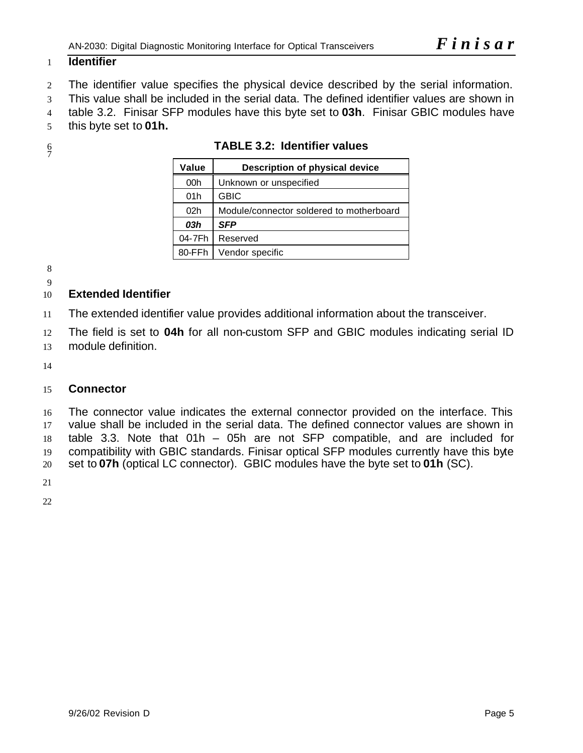# **Identifier**

The identifier value specifies the physical device described by the serial information.

This value shall be included in the serial data. The defined identifier values are shown in

table 3.2. Finisar SFP modules have this byte set to **03h**. Finisar GBIC modules have

this byte set to **01h.**

 $rac{6}{7}$ 

| Value           | Description of physical device           |  |  |
|-----------------|------------------------------------------|--|--|
| 00h             | Unknown or unspecified                   |  |  |
| 01h             | <b>GBIC</b>                              |  |  |
| 02 <sub>h</sub> | Module/connector soldered to motherboard |  |  |
| 03h             | <b>SFP</b>                               |  |  |
| 04-7Fh          | Reserved                                 |  |  |
| 80-FFh          | Vendor specific                          |  |  |

**TABLE 3.2: Identifier values**

| э.<br>I<br>۰. |
|---------------|
|               |

# 

# **Extended Identifier**

The extended identifier value provides additional information about the transceiver.

 The field is set to **04h** for all non-custom SFP and GBIC modules indicating serial ID module definition.

# **Connector**

 The connector value indicates the external connector provided on the interface. This value shall be included in the serial data. The defined connector values are shown in table 3.3. Note that 01h – 05h are not SFP compatible, and are included for compatibility with GBIC standards. Finisar optical SFP modules currently have this byte set to **07h** (optical LC connector). GBIC modules have the byte set to **01h** (SC).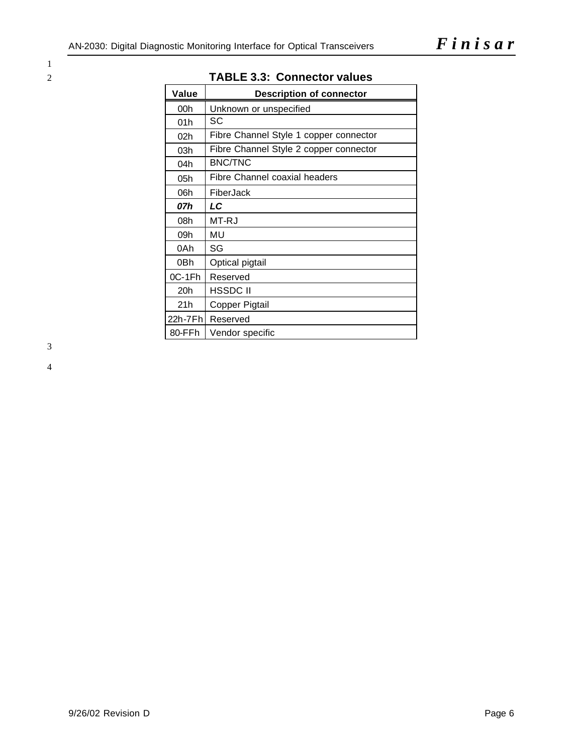1

| Value    | <b>Description of connector</b>        |
|----------|----------------------------------------|
| 00h      | Unknown or unspecified                 |
| 01h      | SC                                     |
| 02h      | Fibre Channel Style 1 copper connector |
| 03h      | Fibre Channel Style 2 copper connector |
| 04h      | <b>BNC/TNC</b>                         |
| 05h      | <b>Fibre Channel coaxial headers</b>   |
| 06h      | FiberJack                              |
| 07h      | LC                                     |
| 08h      | MT-RJ                                  |
| 09h      | MU                                     |
| 0Ah      | SG                                     |
| 0Bh      | Optical pigtail                        |
| $0C-1Fh$ | Reserved                               |
| 20h      | HSSDC II                               |
| 21h      | Copper Pigtail                         |
| 22h-7Fh  | Reserved                               |
| 80-FFh   | Vendor specific                        |

# 2 **TABLE 3.3: Connector values**

3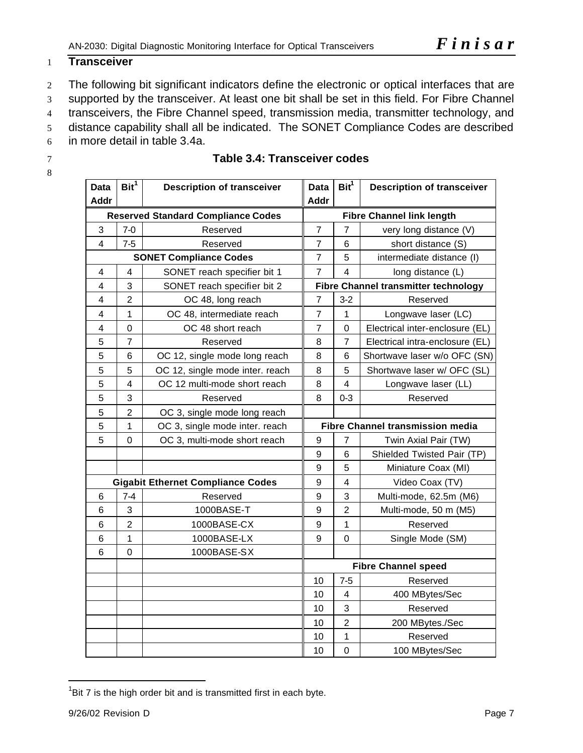# **Transceiver**

- 2 The following bit significant indicators define the electronic or optical interfaces that are
- supported by the transceiver. At least one bit shall be set in this field. For Fibre Channel
- 4 transceivers, the Fibre Channel speed, transmission media, transmitter technology, and
- distance capability shall all be indicated. The SONET Compliance Codes are described
- in more detail in table 3.4a.
- 
- 

| <b>Data</b>                               | Bit <sup>1</sup>        | <b>Description of transceiver</b>        | <b>Data</b>      | $\text{Bit}^1$          | <b>Description of transceiver</b>           |
|-------------------------------------------|-------------------------|------------------------------------------|------------------|-------------------------|---------------------------------------------|
| <b>Addr</b>                               |                         |                                          | <b>Addr</b>      |                         |                                             |
| <b>Reserved Standard Compliance Codes</b> |                         |                                          |                  |                         | <b>Fibre Channel link length</b>            |
| 3                                         | $7-0$                   | Reserved                                 |                  | $\overline{7}$          | very long distance (V)                      |
| $\overline{4}$                            | $7 - 5$                 | Reserved                                 | $\overline{7}$   | 6                       | short distance (S)                          |
|                                           |                         | <b>SONET Compliance Codes</b>            | $\overline{7}$   | 5                       | intermediate distance (I)                   |
| 4                                         | 4                       | SONET reach specifier bit 1              | $\overline{7}$   | 4                       | long distance (L)                           |
| 4                                         | 3                       | SONET reach specifier bit 2              |                  |                         | <b>Fibre Channel transmitter technology</b> |
| 4                                         | $\overline{2}$          | OC 48, long reach                        | $\overline{7}$   | $3-2$                   | Reserved                                    |
| 4                                         | 1                       | OC 48, intermediate reach                | $\overline{7}$   | 1                       | Longwave laser (LC)                         |
| 4                                         | $\overline{0}$          | OC 48 short reach                        | $\overline{7}$   | 0                       | Electrical inter-enclosure (EL)             |
| 5                                         | $\overline{7}$          | Reserved                                 | 8                | 7                       | Electrical intra-enclosure (EL)             |
| 5                                         | $\,6$                   | OC 12, single mode long reach            | 8                | 6                       | Shortwave laser w/o OFC (SN)                |
| 5                                         | 5                       | OC 12, single mode inter. reach          | 8                | 5                       | Shortwave laser w/ OFC (SL)                 |
| 5                                         | $\overline{\mathbf{4}}$ | OC 12 multi-mode short reach             | 8                | $\overline{\mathbf{4}}$ | Longwave laser (LL)                         |
| 5                                         | 3                       | Reserved                                 | 8                | $0 - 3$                 | Reserved                                    |
| 5                                         | $\overline{2}$          | OC 3, single mode long reach             |                  |                         |                                             |
| 5                                         | 1                       | OC 3, single mode inter. reach           |                  |                         | <b>Fibre Channel transmission media</b>     |
| 5                                         | $\mathbf 0$             | OC 3, multi-mode short reach             | $\boldsymbol{9}$ | 7                       | Twin Axial Pair (TW)                        |
|                                           |                         |                                          | 9                | 6                       | Shielded Twisted Pair (TP)                  |
|                                           |                         |                                          | 9                | 5                       | Miniature Coax (MI)                         |
|                                           |                         | <b>Gigabit Ethernet Compliance Codes</b> | 9                | $\overline{\mathbf{4}}$ | Video Coax (TV)                             |
| 6                                         | $7 - 4$                 | Reserved                                 | $\boldsymbol{9}$ | 3                       | Multi-mode, 62.5m (M6)                      |
| 6                                         | 3                       | 1000BASE-T                               | 9                | $\overline{2}$          | Multi-mode, 50 m (M5)                       |
| 6                                         | $\overline{2}$          | 1000BASE-CX                              | 9                | 1                       | Reserved                                    |
| 6                                         | 1                       | 1000BASE-LX                              | 9                | $\overline{0}$          | Single Mode (SM)                            |
| 6                                         | $\mathbf 0$             | 1000BASE-SX                              |                  |                         |                                             |
|                                           |                         |                                          |                  |                         | <b>Fibre Channel speed</b>                  |
|                                           |                         |                                          | 10               | $7-5$                   | Reserved                                    |
|                                           |                         |                                          | 10               | $\overline{\mathbf{4}}$ | 400 MBytes/Sec                              |
|                                           |                         |                                          | 10               | 3                       | Reserved                                    |
|                                           |                         |                                          | 10               | $\overline{2}$          | 200 MBytes./Sec                             |
|                                           |                         |                                          | 10               | 1                       | Reserved                                    |
|                                           |                         |                                          | 10               | $\mathbf 0$             | 100 MBytes/Sec                              |

# **Table 3.4: Transceiver codes**

l

Bit 7 is the high order bit and is transmitted first in each byte.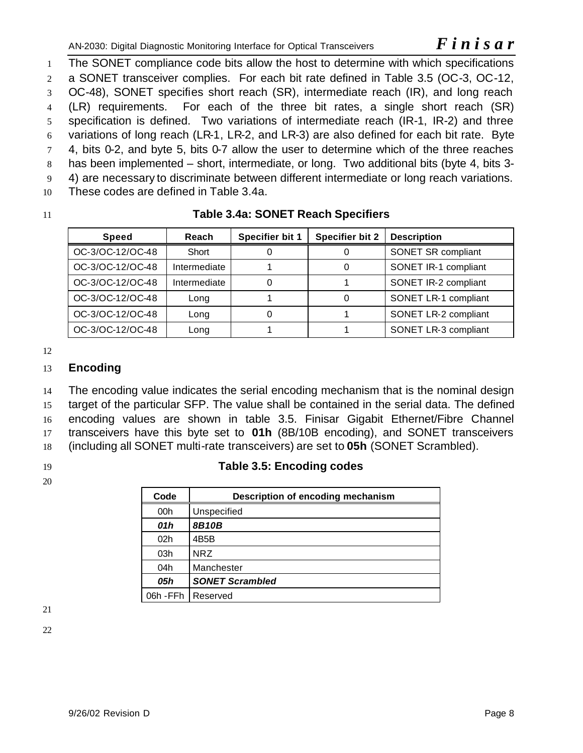The SONET compliance code bits allow the host to determine with which specifications a SONET transceiver complies. For each bit rate defined in Table 3.5 (OC-3, OC-12, OC-48), SONET specifies short reach (SR), intermediate reach (IR), and long reach (LR) requirements. For each of the three bit rates, a single short reach (SR) specification is defined. Two variations of intermediate reach (IR-1, IR-2) and three variations of long reach (LR-1, LR-2, and LR-3) are also defined for each bit rate. Byte 4, bits 0-2, and byte 5, bits 0-7 allow the user to determine which of the three reaches has been implemented – short, intermediate, or long. Two additional bits (byte 4, bits 3- 4) are necessary to discriminate between different intermediate or long reach variations. These codes are defined in Table 3.4a.

# 11 **Table 3.4a: SONET Reach Specifiers**

| <b>Speed</b>     | <b>Reach</b> | Specifier bit 1 | <b>Specifier bit 2</b> | <b>Description</b>   |
|------------------|--------------|-----------------|------------------------|----------------------|
| OC-3/OC-12/OC-48 | Short        |                 |                        | SONET SR compliant   |
| OC-3/OC-12/OC-48 | Intermediate |                 |                        | SONET IR-1 compliant |
| OC-3/OC-12/OC-48 | Intermediate |                 |                        | SONET IR-2 compliant |
| OC-3/OC-12/OC-48 | Long         |                 |                        | SONET LR-1 compliant |
| OC-3/OC-12/OC-48 | Long         |                 |                        | SONET LR-2 compliant |
| OC-3/OC-12/OC-48 | Long         |                 |                        | SONET LR-3 compliant |

12

# 13 **Encoding**

 The encoding value indicates the serial encoding mechanism that is the nominal design target of the particular SFP. The value shall be contained in the serial data. The defined encoding values are shown in table 3.5. Finisar Gigabit Ethernet/Fibre Channel transceivers have this byte set to **01h** (8B/10B encoding), and SONET transceivers (including all SONET multi-rate transceivers) are set to **05h** (SONET Scrambled).

20

# 19 **Table 3.5: Encoding codes**

| Code                 | Description of encoding mechanism |
|----------------------|-----------------------------------|
| 00h                  | Unspecified                       |
| 01h                  | <b>8B10B</b>                      |
| 02 <sub>h</sub>      | 4B5B                              |
| 03h                  | <b>NRZ</b>                        |
| 04h                  | Manchester                        |
| 05h                  | <b>SONET Scrambled</b>            |
| 06h - FFh   Reserved |                                   |

21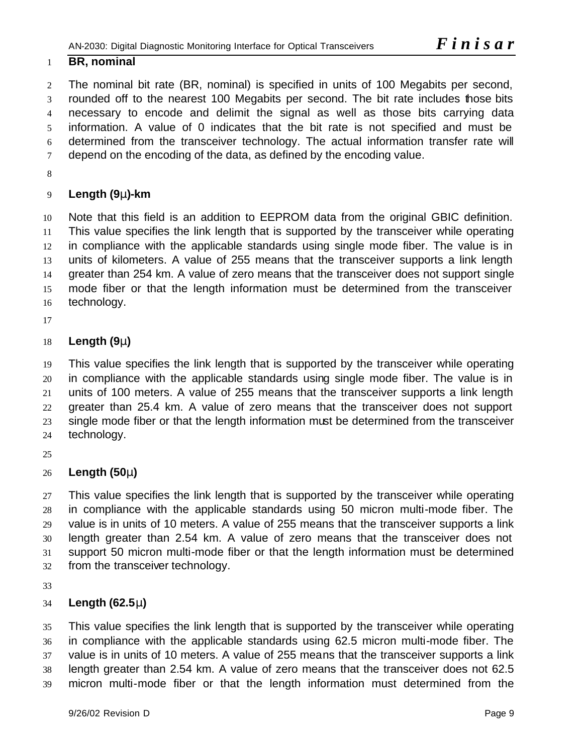### **BR, nominal**

 The nominal bit rate (BR, nominal) is specified in units of 100 Megabits per second, rounded off to the nearest 100 Megabits per second. The bit rate includes those bits necessary to encode and delimit the signal as well as those bits carrying data information. A value of 0 indicates that the bit rate is not specified and must be determined from the transceiver technology. The actual information transfer rate will 7 depend on the encoding of the data, as defined by the encoding value.

# **Length (9m)-km**

 Note that this field is an addition to EEPROM data from the original GBIC definition. This value specifies the link length that is supported by the transceiver while operating 12 in compliance with the applicable standards using single mode fiber. The value is in units of kilometers. A value of 255 means that the transceiver supports a link length greater than 254 km. A value of zero means that the transceiver does not support single mode fiber or that the length information must be determined from the transceiver technology.

# **Length (9m)**

 This value specifies the link length that is supported by the transceiver while operating in compliance with the applicable standards using single mode fiber. The value is in units of 100 meters. A value of 255 means that the transceiver supports a link length greater than 25.4 km. A value of zero means that the transceiver does not support single mode fiber or that the length information must be determined from the transceiver technology.

# **Length (50m)**

27 This value specifies the link length that is supported by the transceiver while operating in compliance with the applicable standards using 50 micron multi-mode fiber. The value is in units of 10 meters. A value of 255 means that the transceiver supports a link length greater than 2.54 km. A value of zero means that the transceiver does not support 50 micron multi-mode fiber or that the length information must be determined from the transceiver technology.

# **Length (62.5m)**

 This value specifies the link length that is supported by the transceiver while operating in compliance with the applicable standards using 62.5 micron multi-mode fiber. The value is in units of 10 meters. A value of 255 means that the transceiver supports a link length greater than 2.54 km. A value of zero means that the transceiver does not 62.5 micron multi-mode fiber or that the length information must determined from the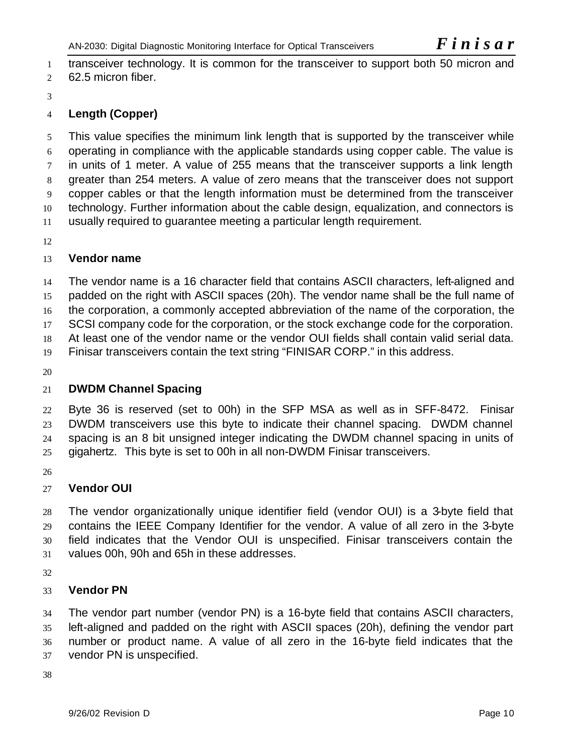transceiver technology. It is common for the transceiver to support both 50 micron and 62.5 micron fiber.

# **Length (Copper)**

 This value specifies the minimum link length that is supported by the transceiver while operating in compliance with the applicable standards using copper cable. The value is in units of 1 meter. A value of 255 means that the transceiver supports a link length greater than 254 meters. A value of zero means that the transceiver does not support copper cables or that the length information must be determined from the transceiver technology. Further information about the cable design, equalization, and connectors is usually required to guarantee meeting a particular length requirement.

# **Vendor name**

 The vendor name is a 16 character field that contains ASCII characters, left-aligned and padded on the right with ASCII spaces (20h). The vendor name shall be the full name of the corporation, a commonly accepted abbreviation of the name of the corporation, the 17 SCSI company code for the corporation, or the stock exchange code for the corporation. At least one of the vendor name or the vendor OUI fields shall contain valid serial data. Finisar transceivers contain the text string "FINISAR CORP." in this address.

# **DWDM Channel Spacing**

 Byte 36 is reserved (set to 00h) in the SFP MSA as well as in SFF-8472. Finisar DWDM transceivers use this byte to indicate their channel spacing. DWDM channel spacing is an 8 bit unsigned integer indicating the DWDM channel spacing in units of 25 gigahertz. This byte is set to 00h in all non-DWDM Finisar transceivers.

# **Vendor OUI**

 The vendor organizationally unique identifier field (vendor OUI) is a 3-byte field that contains the IEEE Company Identifier for the vendor. A value of all zero in the 3-byte field indicates that the Vendor OUI is unspecified. Finisar transceivers contain the values 00h, 90h and 65h in these addresses.

# **Vendor PN**

 The vendor part number (vendor PN) is a 16-byte field that contains ASCII characters, left-aligned and padded on the right with ASCII spaces (20h), defining the vendor part number or product name. A value of all zero in the 16-byte field indicates that the vendor PN is unspecified.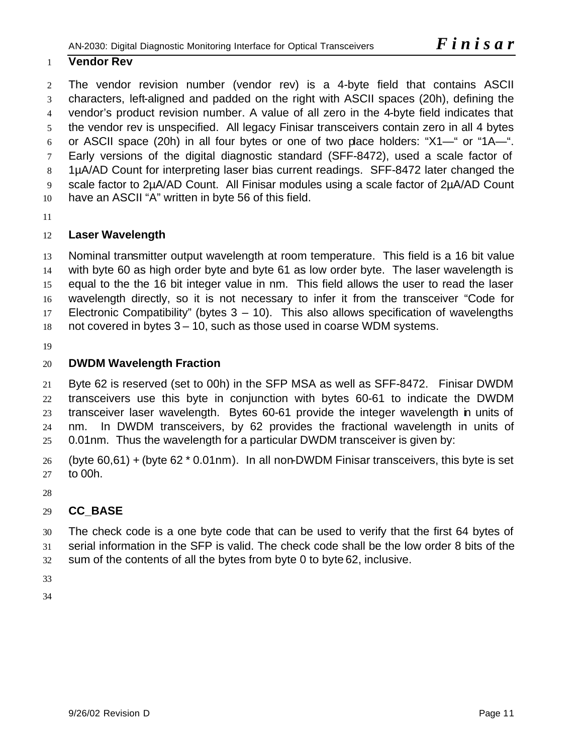# **Vendor Rev**

 The vendor revision number (vendor rev) is a 4-byte field that contains ASCII characters, left-aligned and padded on the right with ASCII spaces (20h), defining the vendor's product revision number. A value of all zero in the 4-byte field indicates that the vendor rev is unspecified. All legacy Finisar transceivers contain zero in all 4 bytes or ASCII space (20h) in all four bytes or one of two place holders: "X1—" or "1A—". Early versions of the digital diagnostic standard (SFF-8472), used a scale factor of 1µA/AD Count for interpreting laser bias current readings. SFF-8472 later changed the scale factor to 2µA/AD Count. All Finisar modules using a scale factor of 2µA/AD Count have an ASCII "A" written in byte 56 of this field.

# **Laser Wavelength**

 Nominal transmitter output wavelength at room temperature. This field is a 16 bit value with byte 60 as high order byte and byte 61 as low order byte. The laser wavelength is equal to the the 16 bit integer value in nm. This field allows the user to read the laser wavelength directly, so it is not necessary to infer it from the transceiver "Code for Electronic Compatibility" (bytes 3 – 10). This also allows specification of wavelengths not covered in bytes 3 – 10, such as those used in coarse WDM systems.

# **DWDM Wavelength Fraction**

 Byte 62 is reserved (set to 00h) in the SFP MSA as well as SFF-8472. Finisar DWDM transceivers use this byte in conjunction with bytes 60-61 to indicate the DWDM transceiver laser wavelength. Bytes 60-61 provide the integer wavelength in units of nm. In DWDM transceivers, by 62 provides the fractional wavelength in units of 0.01nm. Thus the wavelength for a particular DWDM transceiver is given by:

26 (byte 60,61) + (byte 62  $*$  0.01nm). In all non-DWDM Finisar transceivers, this byte is set to 00h.

# **CC\_BASE**

 The check code is a one byte code that can be used to verify that the first 64 bytes of serial information in the SFP is valid. The check code shall be the low order 8 bits of the sum of the contents of all the bytes from byte 0 to byte 62, inclusive.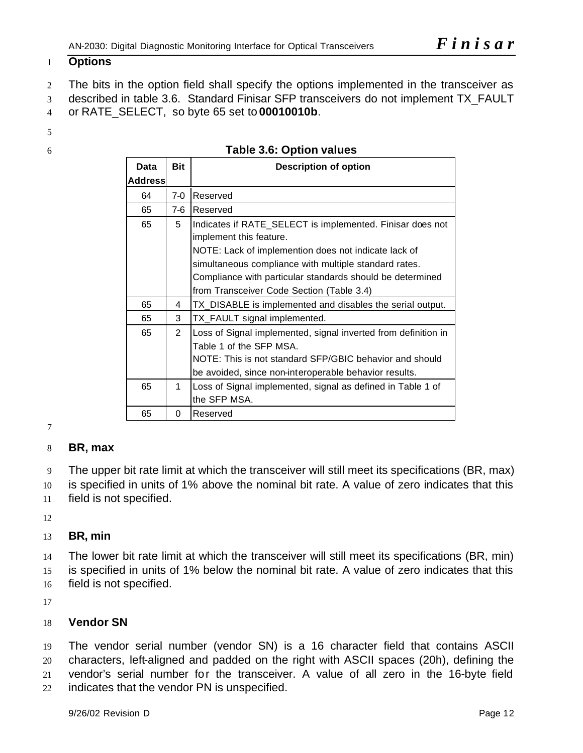# **Options**

 The bits in the option field shall specify the options implemented in the transceiver as described in table 3.6. Standard Finisar SFP transceivers do not implement TX\_FAULT

- or RATE\_SELECT, so byte 65 set to **00010010b**.
- 
- 

|  | Table 3.6: Option values |
|--|--------------------------|
|--|--------------------------|

| Data           | <b>Bit</b>     | <b>Description of option</b>                                                                                                                                                                                  |
|----------------|----------------|---------------------------------------------------------------------------------------------------------------------------------------------------------------------------------------------------------------|
| <b>Address</b> |                |                                                                                                                                                                                                               |
| 64             | $7-0$          | Reserved                                                                                                                                                                                                      |
| 65             | $7-6$          | <b>Reserved</b>                                                                                                                                                                                               |
| 65             | 5              | Indicates if RATE_SELECT is implemented. Finisar does not<br>implement this feature.                                                                                                                          |
|                |                | NOTE: Lack of implemention does not indicate lack of<br>simultaneous compliance with multiple standard rates.                                                                                                 |
|                |                | Compliance with particular standards should be determined<br>from Transceiver Code Section (Table 3.4)                                                                                                        |
| 65             | 4              | TX_DISABLE is implemented and disables the serial output.                                                                                                                                                     |
| 65             | 3              | TX_FAULT signal implemented.                                                                                                                                                                                  |
| 65             | $\overline{2}$ | Loss of Signal implemented, signal inverted from definition in<br>Table 1 of the SFP MSA.<br>NOTE: This is not standard SFP/GBIC behavior and should<br>be avoided, since non-interoperable behavior results. |
| 65             | 1              | Loss of Signal implemented, signal as defined in Table 1 of<br>the SFP MSA.                                                                                                                                   |
| 65             | 0              | Reserved                                                                                                                                                                                                      |

# **BR, max**

The upper bit rate limit at which the transceiver will still meet its specifications (BR, max)

 is specified in units of 1% above the nominal bit rate. A value of zero indicates that this field is not specified.

# **BR, min**

 The lower bit rate limit at which the transceiver will still meet its specifications (BR, min) is specified in units of 1% below the nominal bit rate. A value of zero indicates that this field is not specified.

# **Vendor SN**

 The vendor serial number (vendor SN) is a 16 character field that contains ASCII characters, left-aligned and padded on the right with ASCII spaces (20h), defining the vendor's serial number for the transceiver. A value of all zero in the 16-byte field indicates that the vendor PN is unspecified.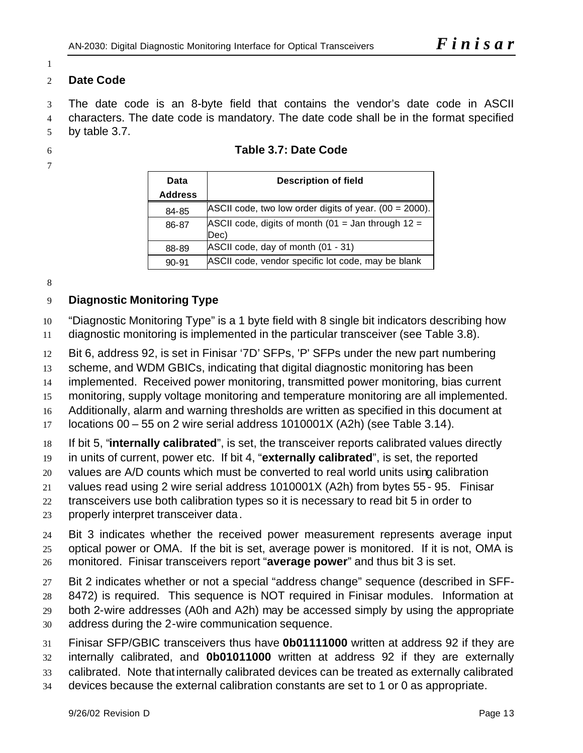### 

### **Date Code**

 The date code is an 8-byte field that contains the vendor's date code in ASCII characters. The date code is mandatory. The date code shall be in the format specified by table 3.7.

- **Table 3.7: Date Code**
- 

| Data           | <b>Description of field</b>                                  |  |  |
|----------------|--------------------------------------------------------------|--|--|
| <b>Address</b> |                                                              |  |  |
| 84-85          | ASCII code, two low order digits of year. (00 = 2000).       |  |  |
| 86-87          | ASCII code, digits of month (01 = Jan through $12 =$<br>Dec) |  |  |
| 88-89          | ASCII code, day of month (01 - 31)                           |  |  |
| $90 - 91$      | ASCII code, vendor specific lot code, may be blank           |  |  |

# **Diagnostic Monitoring Type**

"Diagnostic Monitoring Type" is a 1 byte field with 8 single bit indicators describing how

diagnostic monitoring is implemented in the particular transceiver (see Table 3.8).

Bit 6, address 92, is set in Finisar '7D' SFPs, 'P' SFPs under the new part numbering

scheme, and WDM GBICs, indicating that digital diagnostic monitoring has been

implemented. Received power monitoring, transmitted power monitoring, bias current

monitoring, supply voltage monitoring and temperature monitoring are all implemented.

Additionally, alarm and warning thresholds are written as specified in this document at

locations 00 – 55 on 2 wire serial address 1010001X (A2h) (see Table 3.14).

If bit 5, "**internally calibrated**", is set, the transceiver reports calibrated values directly

in units of current, power etc. If bit 4, "**externally calibrated**", is set, the reported

values are A/D counts which must be converted to real world units using calibration

values read using 2 wire serial address 1010001X (A2h) from bytes 55 - 95. Finisar

transceivers use both calibration types so it is necessary to read bit 5 in order to

properly interpret transceiver data.

 Bit 3 indicates whether the received power measurement represents average input optical power or OMA. If the bit is set, average power is monitored. If it is not, OMA is monitored. Finisar transceivers report "**average power**" and thus bit 3 is set.

 Bit 2 indicates whether or not a special "address change" sequence (described in SFF- 8472) is required. This sequence is NOT required in Finisar modules. Information at both 2-wire addresses (A0h and A2h) may be accessed simply by using the appropriate address during the 2-wire communication sequence.

 Finisar SFP/GBIC transceivers thus have **0b01111000** written at address 92 if they are internally calibrated, and **0b01011000** written at address 92 if they are externally calibrated. Note thatinternally calibrated devices can be treated as externally calibrated devices because the external calibration constants are set to 1 or 0 as appropriate.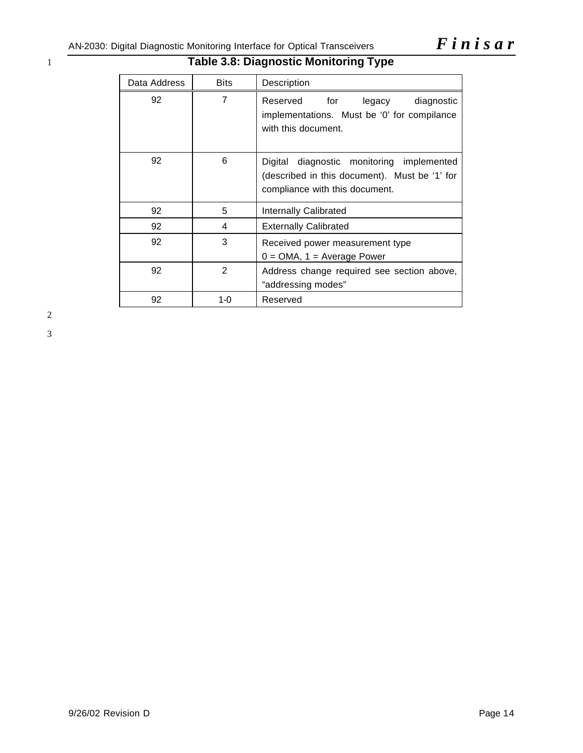# 1 **Table 3.8: Diagnostic Monitoring Type**

| Data Address | <b>Bits</b> | Description                                                                                                                     |
|--------------|-------------|---------------------------------------------------------------------------------------------------------------------------------|
| 92           | 7           | for<br>Reserved<br>legacy<br>diagnostic<br>implementations. Must be '0' for compilance<br>with this document.                   |
| 92           | 6           | diagnostic monitoring implemented<br>Digital<br>(described in this document). Must be '1' for<br>compliance with this document. |
| 92           | 5           | Internally Calibrated                                                                                                           |
| 92           | 4           | <b>Externally Calibrated</b>                                                                                                    |
| 92           | 3           | Received power measurement type<br>$0 = OMA$ , 1 = Average Power                                                                |
| 92           | 2           | Address change required see section above,<br>"addressing modes"                                                                |
| 92           | $1 - 0$     | Reserved                                                                                                                        |

2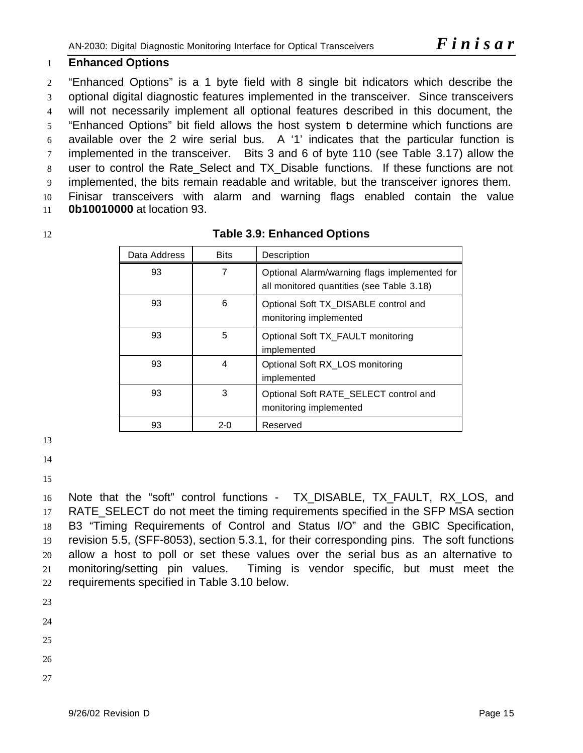# **Enhanced Options**

 "Enhanced Options" is a 1 byte field with 8 single bit indicators which describe the optional digital diagnostic features implemented in the transceiver. Since transceivers will not necessarily implement all optional features described in this document, the "Enhanced Options" bit field allows the host system to determine which functions are available over the 2 wire serial bus. A '1' indicates that the particular function is implemented in the transceiver. Bits 3 and 6 of byte 110 (see Table 3.17) allow the 8 user to control the Rate Select and TX Disable functions. If these functions are not implemented, the bits remain readable and writable, but the transceiver ignores them. Finisar transceivers with alarm and warning flags enabled contain the value **0b10010000** at location 93.

# **Table 3.9: Enhanced Options**

| Data Address | <b>Bits</b> | Description                                                                               |
|--------------|-------------|-------------------------------------------------------------------------------------------|
| 93           | 7           | Optional Alarm/warning flags implemented for<br>all monitored quantities (see Table 3.18) |
| 93           | 6           | Optional Soft TX_DISABLE control and<br>monitoring implemented                            |
| 93           | 5           | Optional Soft TX_FAULT monitoring<br>implemented                                          |
| 93           | 4           | Optional Soft RX_LOS monitoring<br>implemented                                            |
| 93           | 3           | Optional Soft RATE_SELECT control and<br>monitoring implemented                           |
| 93           | $2-0$       | Reserved                                                                                  |

16 Note that the "soft" control functions - TX DISABLE, TX FAULT, RX LOS, and RATE\_SELECT do not meet the timing requirements specified in the SFP MSA section B3 "Timing Requirements of Control and Status I/O" and the GBIC Specification, revision 5.5, (SFF-8053), section 5.3.1, for their corresponding pins. The soft functions allow a host to poll or set these values over the serial bus as an alternative to monitoring/setting pin values. Timing is vendor specific, but must meet the requirements specified in Table 3.10 below.

- 
-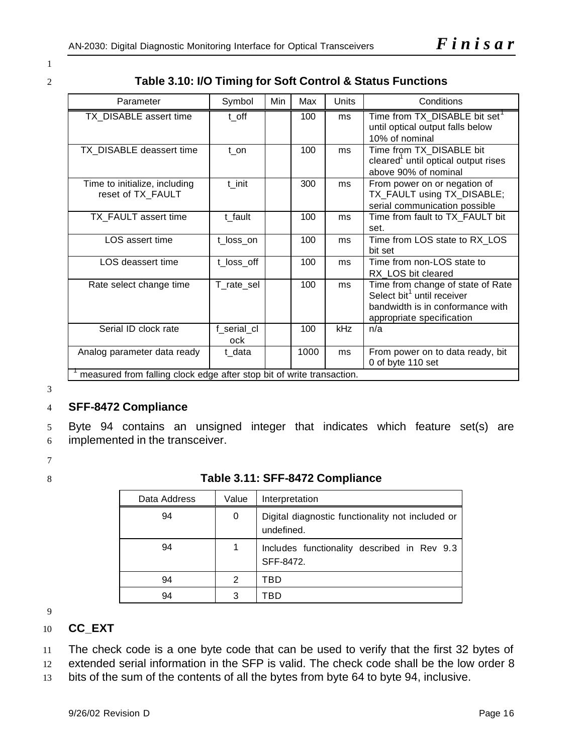1

2 **Table 3.10: I/O Timing for Soft Control & Status Functions**

| Parameter                                                             | Symbol             | Min | Max  | Units | Conditions                                                                                                                                   |  |  |
|-----------------------------------------------------------------------|--------------------|-----|------|-------|----------------------------------------------------------------------------------------------------------------------------------------------|--|--|
| TX DISABLE assert time                                                | t off              |     | 100  | ms    | Time from TX DISABLE bit set <sup>1</sup><br>until optical output falls below<br>10% of nominal                                              |  |  |
| TX_DISABLE deassert time                                              | $t$ _on            |     | 100  | ms    | Time from TX_DISABLE bit<br>cleared <sup>1</sup> until optical output rises<br>above 90% of nominal                                          |  |  |
| Time to initialize, including<br>reset of TX_FAULT                    | t init             |     | 300  | ms    | From power on or negation of<br>TX_FAULT using TX_DISABLE;<br>serial communication possible                                                  |  |  |
| TX_FAULT assert time                                                  | t fault            |     | 100  | ms    | Time from fault to TX_FAULT bit<br>set.                                                                                                      |  |  |
| LOS assert time                                                       | t_loss_on          |     | 100  | ms    | Time from LOS state to RX_LOS<br>bit set                                                                                                     |  |  |
| LOS deassert time                                                     | t_loss_off         |     | 100  | ms    | Time from non-LOS state to<br>RX_LOS bit cleared                                                                                             |  |  |
| Rate select change time                                               | T rate sel         |     | 100  | ms    | Time from change of state of Rate<br>Select bit <sup>1</sup> until receiver<br>bandwidth is in conformance with<br>appropriate specification |  |  |
| Serial ID clock rate                                                  | f_serial_cl<br>ock |     | 100  | kHz   | n/a                                                                                                                                          |  |  |
| Analog parameter data ready                                           | t_data             |     | 1000 | ms    | From power on to data ready, bit<br>0 of byte 110 set                                                                                        |  |  |
| measured from falling clock edge after stop bit of write transaction. |                    |     |      |       |                                                                                                                                              |  |  |

3

### 4 **SFF-8472 Compliance**

5 Byte 94 contains an unsigned integer that indicates which feature set(s) are 6 implemented in the transceiver.

7

### 8 **Table 3.11: SFF-8472 Compliance**

| Data Address | Value | Interpretation                                                 |
|--------------|-------|----------------------------------------------------------------|
| 94           | 0     | Digital diagnostic functionality not included or<br>undefined. |
| 94           |       | Includes functionality described in Rev 9.3<br>SFF-8472.       |
| 94           | 2     | TBD                                                            |
| 94           | 3     | TRD                                                            |

9

### 10 **CC\_EXT**

11 The check code is a one byte code that can be used to verify that the first 32 bytes of

12 extended serial information in the SFP is valid. The check code shall be the low order 8

13 bits of the sum of the contents of all the bytes from byte 64 to byte 94, inclusive.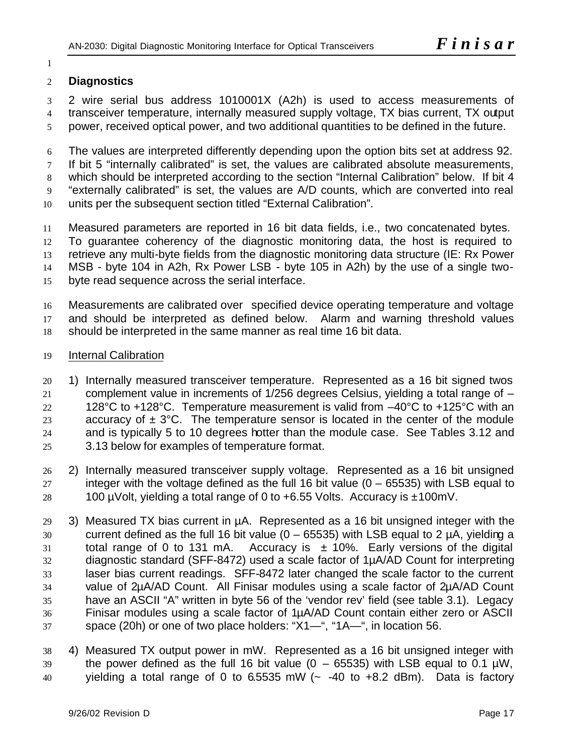### 

# **Diagnostics**

 2 wire serial bus address 1010001X (A2h) is used to access measurements of transceiver temperature, internally measured supply voltage, TX bias current, TX output power, received optical power, and two additional quantities to be defined in the future.

The values are interpreted differently depending upon the option bits set at address 92.

If bit 5 "internally calibrated" is set, the values are calibrated absolute measurements,

 which should be interpreted according to the section "Internal Calibration" below. If bit 4 "externally calibrated" is set, the values are A/D counts, which are converted into real

units per the subsequent section titled "External Calibration".

 Measured parameters are reported in 16 bit data fields, i.e., two concatenated bytes. To guarantee coherency of the diagnostic monitoring data, the host is required to retrieve any multi-byte fields from the diagnostic monitoring data structure (IE: Rx Power MSB - byte 104 in A2h, Rx Power LSB - byte 105 in A2h) by the use of a single two-

byte read sequence across the serial interface.

 Measurements are calibrated over specified device operating temperature and voltage and should be interpreted as defined below. Alarm and warning threshold values should be interpreted in the same manner as real time 16 bit data.

### Internal Calibration

- 1) Internally measured transceiver temperature. Represented as a 16 bit signed twos complement value in increments of 1/256 degrees Celsius, yielding a total range of – 22 128°C to +128°C. Temperature measurement is valid from  $-40^{\circ}$ C to +125°C with an 23 accuracy of  $\pm$  3°C. The temperature sensor is located in the center of the module and is typically 5 to 10 degrees hotter than the module case. See Tables 3.12 and 3.13 below for examples of temperature format.
- 2) Internally measured transceiver supply voltage. Represented as a 16 bit unsigned 27 integer with the voltage defined as the full 16 bit value  $(0 - 65535)$  with LSB equal to 28 100 µVolt, yielding a total range of 0 to  $+6.55$  Volts. Accuracy is  $\pm 100$ mV.
- 3) Measured TX bias current in µA. Represented as a 16 bit unsigned integer with the current defined as the full 16 bit value (0 – 65535) with LSB equal to 2 µA, yielding a 31 total range of 0 to 131 mA. Accuracy is  $\pm$  10%. Early versions of the digital diagnostic standard (SFF-8472) used a scale factor of 1µA/AD Count for interpreting laser bias current readings. SFF-8472 later changed the scale factor to the current value of 2µA/AD Count. All Finisar modules using a scale factor of 2µA/AD Count have an ASCII "A" written in byte 56 of the 'vendor rev' field (see table 3.1). Legacy Finisar modules using a scale factor of 1µA/AD Count contain either zero or ASCII space (20h) or one of two place holders: "X1—", "1A—", in location 56.

 4) Measured TX output power in mW. Represented as a 16 bit unsigned integer with 39 the power defined as the full 16 bit value  $(0 - 65535)$  with LSB equal to 0.1  $\mu$ W, yielding a total range of 0 to 6.5535 mW (~ -40 to +8.2 dBm). Data is factory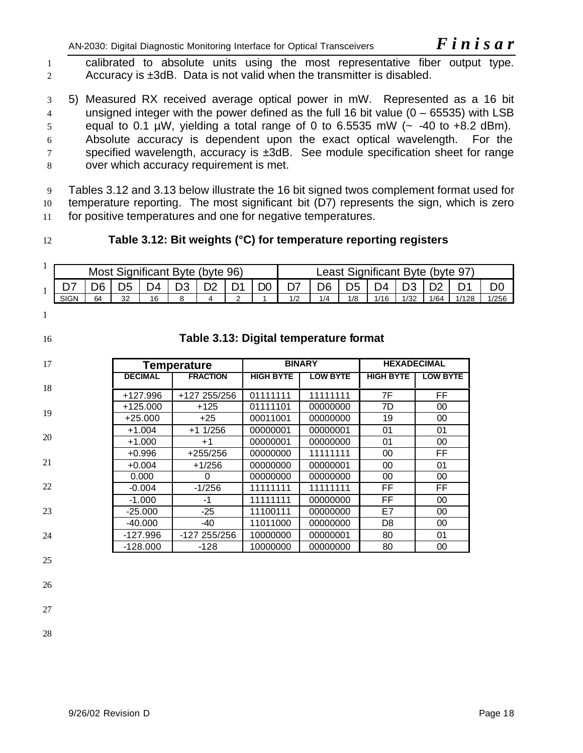AN-2030: Digital Diagnostic Monitoring Interface for Optical Transceivers *F inisar* 

1 calibrated to absolute units using the most representative fiber output type. 2 Accuracy is ±3dB. Data is not valid when the transmitter is disabled.

 5) Measured RX received average optical power in mW. Represented as a 16 bit unsigned integer with the power defined as the full 16 bit value (0 – 65535) with LSB equal to 0.1 µW, yielding a total range of 0 to 6.5535 mW ( $\sim$  -40 to +8.2 dBm). Absolute accuracy is dependent upon the exact optical wavelength. For the specified wavelength, accuracy is ±3dB. See module specification sheet for range over which accuracy requirement is met.

9 Tables 3.12 and 3.13 below illustrate the 16 bit signed twos complement format used for 10 temperature reporting. The most significant bit (D7) represents the sign, which is zero 11 for positive temperatures and one for negative temperatures.

# 12 **Table 3.12: Bit weights (°C) for temperature reporting registers**

| Significant Byte (byte 96)<br>MOSt |    |          |     |           | Significant Byte (byte 97)<br>Least |         |     |     |     |      |      |      |       |       |
|------------------------------------|----|----------|-----|-----------|-------------------------------------|---------|-----|-----|-----|------|------|------|-------|-------|
|                                    |    |          | ר ∩ | n o<br>◡◡ | ◡▵                                  | Ŋ۵<br>◡ |     | D6  | ℩⊷  | )4   |      | ◡▵   |       | DΟ    |
| <b>SIGN</b>                        | 64 | າາ<br>ےں | 16  | $\sim$    |                                     |         | 1/2 | 1/4 | 1/8 | 1/16 | 1/32 | 1/64 | 1/128 | 1/256 |

 $\overline{1}$ 

# 16 **Table 3.13: Digital temperature format**

| 17 | <b>Temperature</b> |                 |                  | <b>BINARY</b>   |                  | <b>HEXADECIMAL</b> |  |
|----|--------------------|-----------------|------------------|-----------------|------------------|--------------------|--|
|    | <b>DECIMAL</b>     | <b>FRACTION</b> | <b>HIGH BYTE</b> | <b>LOW BYTE</b> | <b>HIGH BYTE</b> | <b>LOW BYTE</b>    |  |
| 18 | +127.996           | +127 255/256    | 01111111         | 11111111        | 7F               | FF                 |  |
|    | $+125.000$         | $+125$          | 01111101         | 00000000        | 7D               | 00                 |  |
| 19 | $+25.000$          | $+25$           | 00011001         | 00000000        | 19               | 00                 |  |
|    | $+1.004$           | $+1$ 1/256      | 00000001         | 00000001        | 01               | 01                 |  |
| 20 | +1.000             | $+1$            | 00000001         | 00000000        | 01               | 00                 |  |
|    | $+0.996$           | $+255/256$      | 00000000         | 11111111        | 00               | FF                 |  |
| 21 | $+0.004$           | $+1/256$        | 00000000         | 00000001        | 00               | 01                 |  |
|    | 0.000              | 0               | 00000000         | 00000000        | 00               | 00                 |  |
| 22 | $-0.004$           | $-1/256$        | 11111111         | 11111111        | FF               | FF                 |  |
|    | $-1.000$           | -1              | 11111111         | 00000000        | FF               | 00                 |  |
| 23 | $-25.000$          | $-25$           | 11100111         | 00000000        | E7               | 00                 |  |
|    | $-40.000$          | -40             | 11011000         | 00000000        | D <sub>8</sub>   | 00                 |  |
| 24 | $-127.996$         | -127 255/256    | 10000000         | 00000001        | 80               | 01                 |  |
|    | $-128.000$         | -128            | 10000000         | 00000000        | 80               | 00                 |  |

- 25
- 26
- 27
- 28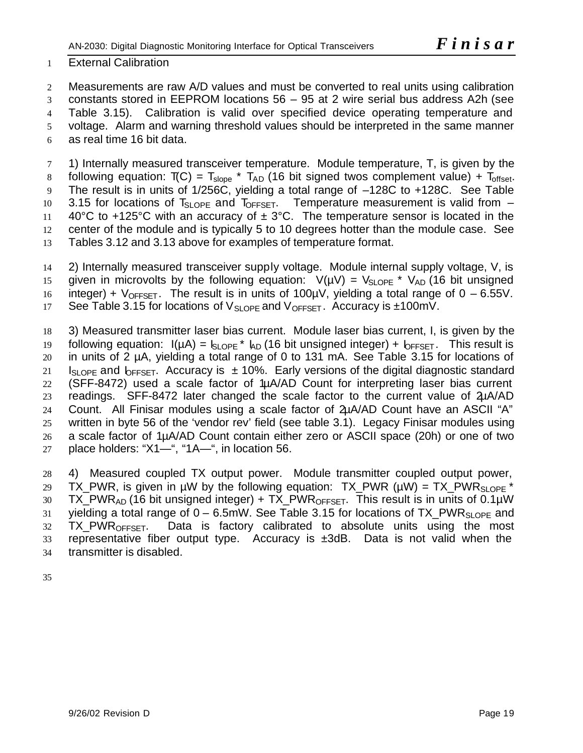### 1 External Calibration

 Measurements are raw A/D values and must be converted to real units using calibration constants stored in EEPROM locations 56 – 95 at 2 wire serial bus address A2h (see Table 3.15). Calibration is valid over specified device operating temperature and voltage. Alarm and warning threshold values should be interpreted in the same manner as real time 16 bit data.

7 1) Internally measured transceiver temperature. Module temperature, T, is given by the 8 following equation:  $T(C) = T_{slope} * T_{AD}$  (16 bit signed twos complement value) +  $T_{offset}$ . 9 The result is in units of 1/256C, yielding a total range of –128C to +128C. See Table 10 3.15 for locations of  $T_{SLOPE}$  and  $T_{OFFSET}$ . Temperature measurement is valid from  $-$ 11 40°C to +125°C with an accuracy of  $\pm$  3°C. The temperature sensor is located in the 12 center of the module and is typically 5 to 10 degrees hotter than the module case. See 13 Tables 3.12 and 3.13 above for examples of temperature format.

14 2) Internally measured transceiver supply voltage. Module internal supply voltage, V, is 15 given in microvolts by the following equation:  $V(\mu V) = V_{SLOPE} * V_{AD}$  (16 bit unsigned 16 integer) +  $V_{OFFSET}$ . The result is in units of 100 $\mu$ V, yielding a total range of 0 – 6.55V. 17 See Table 3.15 for locations of  $V_{SLOPE}$  and  $V_{OFFSET}$ . Accuracy is  $\pm 100$ mV.

 3) Measured transmitter laser bias current. Module laser bias current, I, is given by the 19 following equation:  $I(\mu A) = I_{SLOPE} * I_{AD}$  (16 bit unsigned integer) +  $I_{OFFSET}$ . This result is in units of 2 µA, yielding a total range of 0 to 131 mA. See Table 3.15 for locations of 21 Is oper and  $\overline{b}_{FFSFT}$ . Accuracy is  $\pm 10\%$ . Early versions of the digital diagnostic standard (SFF-8472) used a scale factor of 1µA/AD Count for interpreting laser bias current readings. SFF-8472 later changed the scale factor to the current value of 2µA/AD Count. All Finisar modules using a scale factor of 2µA/AD Count have an ASCII "A" written in byte 56 of the 'vendor rev' field (see table 3.1). Legacy Finisar modules using a scale factor of 1µA/AD Count contain either zero or ASCII space (20h) or one of two 27 place holders: " $X1$ —", " $1A$ —", in location 56.

28 4) Measured coupled TX output power. Module transmitter coupled output power, 29 TX PWR, is given in µW by the following equation: TX PWR (µW) = TX PWR<sub>SLOPE</sub> \* 30 TX\_PWR<sub>AD</sub> (16 bit unsigned integer) + TX\_PWR<sub>OFFSET</sub>. This result is in units of 0.1 $\mu$ W 31 yielding a total range of  $0 - 6.5$ mW. See Table 3.15 for locations of TX PWR<sub>SLOPF</sub> and 32 TX\_PWR<sub>OFFSET</sub>. Data is factory calibrated to absolute units using the most 33 representative fiber output type. Accuracy is  $\pm 3$ dB. Data is not valid when the 34 transmitter is disabled.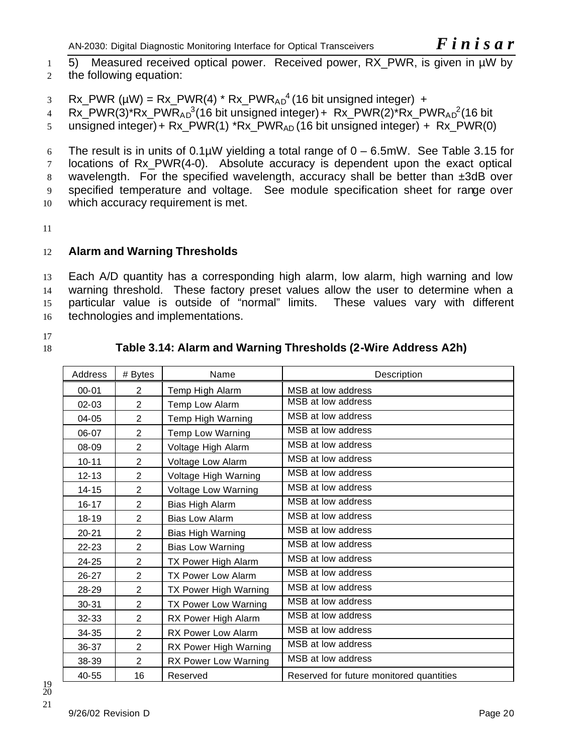1 5) Measured received optical power. Received power, RX PWR, is given in µW by 2 the following equation:

3 Rx\_PWR ( $\mu$ W) = Rx\_PWR(4) \* Rx\_PWR<sub>AD</sub><sup>4</sup> (16 bit unsigned integer) +

4 Rx\_PWR(3)\*Rx\_PWR<sub>AD</sub><sup>3</sup>(16 bit unsigned integer)+ Rx\_PWR(2)\*Rx\_PWR<sub>AD</sub><sup>2</sup>(16 bit

5 unsigned integer) + Rx  $PWR(1)$  \*Rx  $PWR_{AD}$  (16 bit unsigned integer) + Rx  $PWR(0)$ 

6 The result is in units of  $0.1\mu$ W yielding a total range of  $0 - 6.5\mu$ W. See Table 3.15 for 7 locations of Rx PWR(4-0). Absolute accuracy is dependent upon the exact optical 8 wavelength. For the specified wavelength, accuracy shall be better than  $\pm 3dB$  over 9 specified temperature and voltage. See module specification sheet for range over 10 which accuracy requirement is met.

11

# 12 **Alarm and Warning Thresholds**

 Each A/D quantity has a corresponding high alarm, low alarm, high warning and low warning threshold. These factory preset values allow the user to determine when a particular value is outside of "normal" limits. These values vary with different technologies and implementations.

17

# 18 **Table 3.14: Alarm and Warning Thresholds (2-Wire Address A2h)**

| Address   | # Bytes        | Name                       | Description                              |
|-----------|----------------|----------------------------|------------------------------------------|
| $00 - 01$ | $\overline{2}$ | Temp High Alarm            | MSB at low address                       |
| $02 - 03$ | $\overline{2}$ | Temp Low Alarm             | MSB at low address                       |
| $04 - 05$ | $\overline{2}$ | Temp High Warning          | MSB at low address                       |
| 06-07     | $\overline{2}$ | Temp Low Warning           | MSB at low address                       |
| 08-09     | $\overline{2}$ | Voltage High Alarm         | MSB at low address                       |
| $10 - 11$ | 2              | Voltage Low Alarm          | MSB at low address                       |
| $12 - 13$ | $\overline{2}$ | Voltage High Warning       | MSB at low address                       |
| $14 - 15$ | $\overline{2}$ | <b>Voltage Low Warning</b> | MSB at low address                       |
| $16 - 17$ | $\overline{2}$ | Bias High Alarm            | MSB at low address                       |
| $18 - 19$ | $\overline{2}$ | <b>Bias Low Alarm</b>      | MSB at low address                       |
| $20 - 21$ | $\overline{2}$ | Bias High Warning          | MSB at low address                       |
| 22-23     | $\overline{2}$ | <b>Bias Low Warning</b>    | MSB at low address                       |
| 24-25     | $\overline{2}$ | TX Power High Alarm        | MSB at low address                       |
| $26 - 27$ | 2              | <b>TX Power Low Alarm</b>  | MSB at low address                       |
| 28-29     | $\overline{2}$ | TX Power High Warning      | MSB at low address                       |
| 30-31     | $\overline{2}$ | TX Power Low Warning       | MSB at low address                       |
| 32-33     | $\overline{2}$ | RX Power High Alarm        | MSB at low address                       |
| 34-35     | $\overline{2}$ | RX Power Low Alarm         | MSB at low address                       |
| 36-37     | $\overline{2}$ | RX Power High Warning      | MSB at low address                       |
| 38-39     | $\overline{2}$ | RX Power Low Warning       | MSB at low address                       |
| 40-55     | 16             | Reserved                   | Reserved for future monitored quantities |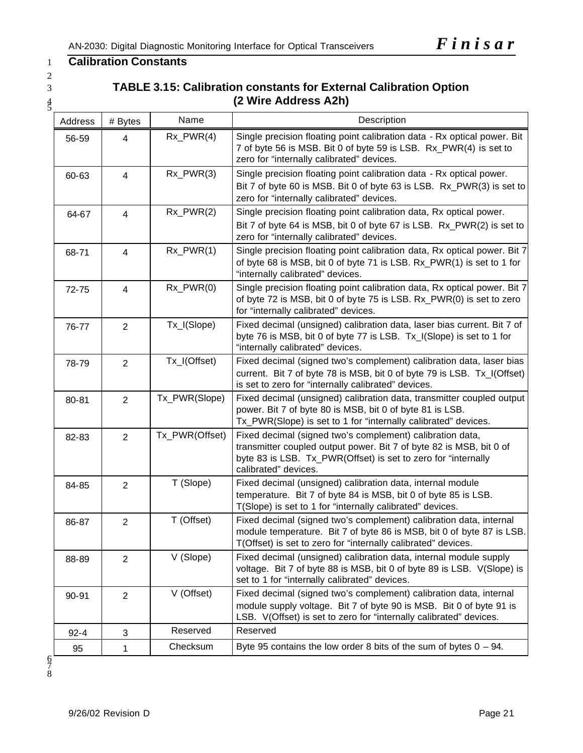# 1 **Calibration Constants**

2

# 3 **TABLE 3.15: Calibration constants for External Calibration Option** <sup>4</sup> **(2 Wire Address A2h)** <sup>5</sup>

| Address  | # Bytes        | Name           | Description                                                                                                                                                                                                               |
|----------|----------------|----------------|---------------------------------------------------------------------------------------------------------------------------------------------------------------------------------------------------------------------------|
| 56-59    | 4              | $Rx_PWR(4)$    | Single precision floating point calibration data - Rx optical power. Bit<br>7 of byte 56 is MSB. Bit 0 of byte 59 is LSB. Rx_PWR(4) is set to<br>zero for "internally calibrated" devices.                                |
| 60-63    | $\overline{4}$ | $Rx_PWR(3)$    | Single precision floating point calibration data - Rx optical power.<br>Bit 7 of byte 60 is MSB. Bit 0 of byte 63 is LSB. Rx_PWR(3) is set to<br>zero for "internally calibrated" devices.                                |
| 64-67    | 4              | $Rx_PWR(2)$    | Single precision floating point calibration data, Rx optical power.<br>Bit 7 of byte 64 is MSB, bit 0 of byte 67 is LSB. Rx_PWR(2) is set to<br>zero for "internally calibrated" devices.                                 |
| 68-71    | 4              | $Rx_PWR(1)$    | Single precision floating point calibration data, Rx optical power. Bit 7<br>of byte 68 is MSB, bit 0 of byte 71 is LSB. Rx_PWR(1) is set to 1 for<br>"internally calibrated" devices.                                    |
| 72-75    | $\overline{4}$ | $Rx_PWR(0)$    | Single precision floating point calibration data, Rx optical power. Bit 7<br>of byte 72 is MSB, bit 0 of byte 75 is LSB. Rx_PWR(0) is set to zero<br>for "internally calibrated" devices.                                 |
| 76-77    | $\overline{2}$ | Tx_I(Slope)    | Fixed decimal (unsigned) calibration data, laser bias current. Bit 7 of<br>byte 76 is MSB, bit 0 of byte 77 is LSB. Tx_I(Slope) is set to 1 for<br>"internally calibrated" devices.                                       |
| 78-79    | $\overline{2}$ | Tx_I(Offset)   | Fixed decimal (signed two's complement) calibration data, laser bias<br>current. Bit 7 of byte 78 is MSB, bit 0 of byte 79 is LSB. Tx_I(Offset)<br>is set to zero for "internally calibrated" devices.                    |
| 80-81    | $\overline{2}$ | Tx_PWR(Slope)  | Fixed decimal (unsigned) calibration data, transmitter coupled output<br>power. Bit 7 of byte 80 is MSB, bit 0 of byte 81 is LSB.<br>Tx_PWR(Slope) is set to 1 for "internally calibrated" devices.                       |
| 82-83    | $\overline{2}$ | Tx_PWR(Offset) | Fixed decimal (signed two's complement) calibration data,<br>transmitter coupled output power. Bit 7 of byte 82 is MSB, bit 0 of<br>byte 83 is LSB. Tx_PWR(Offset) is set to zero for "internally<br>calibrated" devices. |
| 84-85    | $\overline{2}$ | T (Slope)      | Fixed decimal (unsigned) calibration data, internal module<br>temperature. Bit 7 of byte 84 is MSB, bit 0 of byte 85 is LSB.<br>T(Slope) is set to 1 for "internally calibrated" devices.                                 |
| 86-87    | $\overline{2}$ | T (Offset)     | Fixed decimal (signed two's complement) calibration data, internal<br>module temperature. Bit 7 of byte 86 is MSB, bit 0 of byte 87 is LSB.<br>T(Offset) is set to zero for "internally calibrated" devices.              |
| 88-89    | $\overline{2}$ | V (Slope)      | Fixed decimal (unsigned) calibration data, internal module supply<br>voltage. Bit 7 of byte 88 is MSB, bit 0 of byte 89 is LSB. V(Slope) is<br>set to 1 for "internally calibrated" devices.                              |
| 90-91    | $\overline{2}$ | V (Offset)     | Fixed decimal (signed two's complement) calibration data, internal<br>module supply voltage. Bit 7 of byte 90 is MSB. Bit 0 of byte 91 is<br>LSB. V(Offset) is set to zero for "internally calibrated" devices.           |
| $92 - 4$ | 3              | Reserved       | Reserved                                                                                                                                                                                                                  |
| 95       | 1              | Checksum       | Byte 95 contains the low order 8 bits of the sum of bytes $0 - 94$ .                                                                                                                                                      |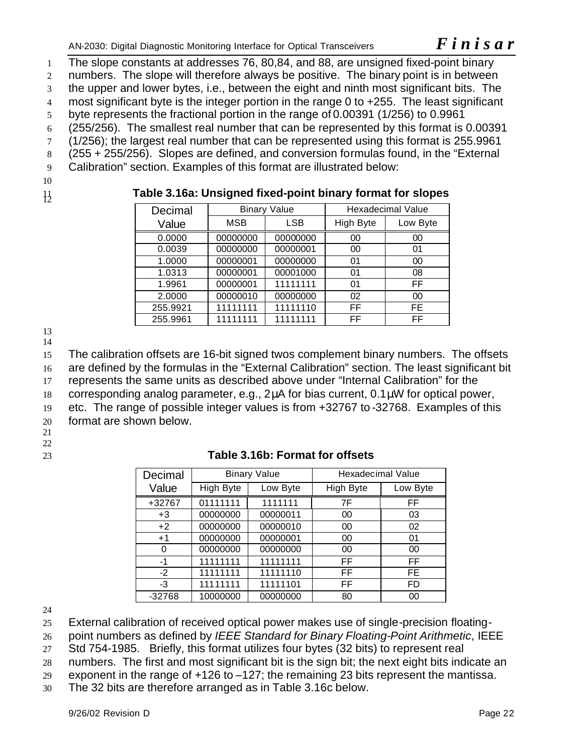AN-2030: Digital Diagnostic Monitoring Interface for Optical Transceivers *F inisar* 

 The slope constants at addresses 76, 80,84, and 88, are unsigned fixed-point binary numbers. The slope will therefore always be positive. The binary point is in between the upper and lower bytes, i.e., between the eight and ninth most significant bits. The 4 most significant byte is the integer portion in the range 0 to +255. The least significant byte represents the fractional portion in the range of 0.00391 (1/256) to 0.9961 (255/256). The smallest real number that can be represented by this format is 0.00391 (1/256); the largest real number that can be represented using this format is 255.9961 (255 + 255/256). Slopes are defined, and conversion formulas found, in the "External Calibration" section. Examples of this format are illustrated below: 10

# <sup>11</sup> **Table 3.16a: Unsigned fixed-point binary format for slopes** <sup>12</sup>

| Decimal  |          | <b>Binary Value</b> | <b>Hexadecimal Value</b> |          |  |
|----------|----------|---------------------|--------------------------|----------|--|
| Value    | MSB      | LSB                 | High Byte                | Low Byte |  |
| 0.0000   | 00000000 | 00000000            | 00                       | 00       |  |
| 0.0039   | 00000000 | 00000001            | 00                       | 01       |  |
| 1.0000   | 00000001 | 00000000            | 01                       | 00       |  |
| 1.0313   | 00000001 | 00001000            | 01                       | 08       |  |
| 1.9961   | 00000001 | 11111111            | 01                       | FF       |  |
| 2.0000   | 00000010 | 00000000            | 02                       | 00       |  |
| 255.9921 | 11111111 | 11111110            | FF                       | FE.      |  |
| 255.9961 | 11111111 | 11111111            | FF                       | FF       |  |

13 14

15 The calibration offsets are 16-bit signed twos complement binary numbers. The offsets

16 are defined by the formulas in the "External Calibration" section. The least significant bit

17 represents the same units as described above under "Internal Calibration" for the

18 corresponding analog parameter, e.g., 2μA for bias current, 0.1μW for optical power,

19 etc. The range of possible integer values is from +32767 to -32768. Examples of this

20 format are shown below.

21

22

23 **Table 3.16b: Format for offsets**

| Decimal  |           | <b>Binary Value</b> | <b>Hexadecimal Value</b> |          |
|----------|-----------|---------------------|--------------------------|----------|
| Value    | High Byte | Low Byte            | <b>High Byte</b>         | Low Byte |
| +32767   | 01111111  | 1111111             | 7F                       | FF       |
| $+3$     | 00000000  | 00000011            | 00                       | 03       |
| $+2$     | 00000000  | 00000010            | 00                       | 02       |
| $+1$     | 00000000  | 00000001            | 00                       | 01       |
| 0        | 00000000  | 00000000            | 00                       | 00       |
| -1       | 11111111  | 11111111            | FF                       | FF       |
| $-2$     | 11111111  | 11111110            | FF                       | FE.      |
| $-3$     | 11111111  | 11111101            | FF                       | FD       |
| $-32768$ | 10000000  | 00000000            | 80                       | 00       |

24

25 External calibration of received optical power makes use of single-precision floating-

26 point numbers as defined by *IEEE Standard for Binary Floating-Point Arithmetic*, IEEE

27 Std 754-1985. Briefly, this format utilizes four bytes (32 bits) to represent real

28 numbers. The first and most significant bit is the sign bit; the next eight bits indicate an

29 exponent in the range of  $+126$  to  $-127$ ; the remaining 23 bits represent the mantissa.

30 The 32 bits are therefore arranged as in Table 3.16c below.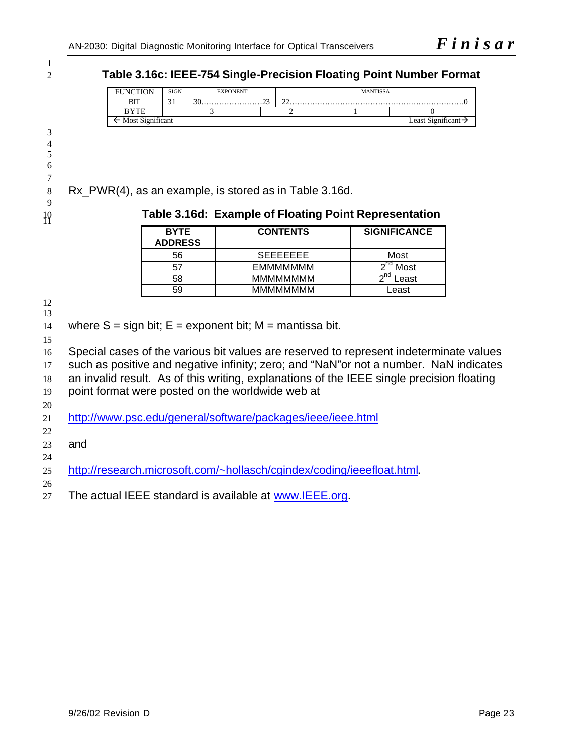**Table 3.16c: IEEE-754 Single-Precision Floating Point Number Format** 

| <b>INCTION</b><br>н. | <b>SIGN</b> | <b>EXPONENT</b> |  |        | <b>MANTISSA</b> |                     |  |  |
|----------------------|-------------|-----------------|--|--------|-----------------|---------------------|--|--|
| DIT<br>ыı            | ◡           |                 |  | $\sim$ |                 |                     |  |  |
|                      |             |                 |  |        |                 |                     |  |  |
| Most Significant     |             |                 |  |        |                 | Sionificant<br>east |  |  |

Rx\_PWR(4), as an example, is stored as in Table 3.16d.

# **Table 3.16d: Example of Floating Point Representation** <sup>11</sup>

| <b>BYTE</b><br><b>ADDRESS</b> | <b>CONTENTS</b> | <b>SIGNIFICANCE</b> |
|-------------------------------|-----------------|---------------------|
| 56                            | <b>SEEEEEEE</b> | Most                |
| 57                            | EMMMMMMM        | Most                |
| 58                            | <b>MMMMMMMM</b> | $\sim$ nd<br>.east  |
| 59                            | <b>MMMMMMMM</b> | Least               |

 

14 where  $S = \text{sign bit}$ ;  $E = \text{exponent bit}$ ;  $M = \text{mantissa bit}$ .

 Special cases of the various bit values are reserved to represent indeterminate values such as positive and negative infinity; zero; and "NaN"or not a number. NaN indicates an invalid result. As of this writing, explanations of the IEEE single precision floating point format were posted on the worldwide web at http://www.psc.edu/general/software/packages/ieee/ieee.html 

and

- http://research.microsoft.com/~hollasch/cgindex/coding/ieeefloat.html.
- 27 The actual IEEE standard is available at www.IEEE.org.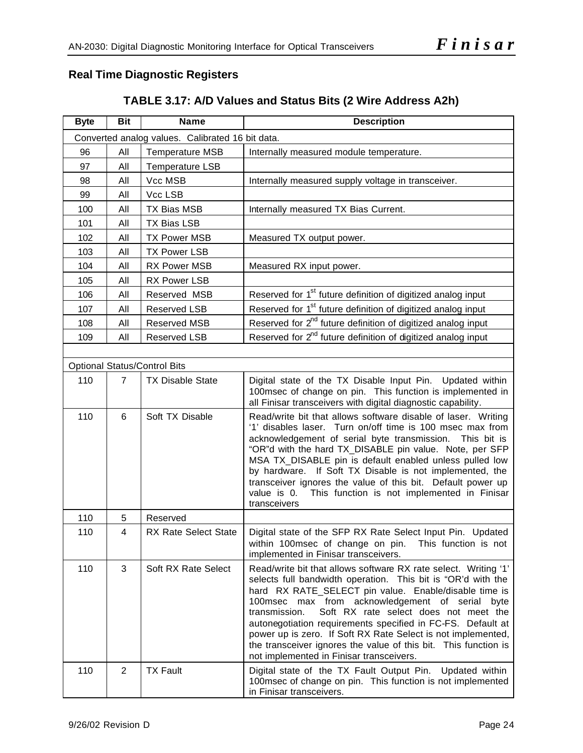# **Real Time Diagnostic Registers**

| <b>Byte</b> | <b>Bit</b>     | <b>Name</b>                                      | <b>Description</b>                                                                                                                                                                                                                                                                                                                                                                                                                                                                                                                                        |
|-------------|----------------|--------------------------------------------------|-----------------------------------------------------------------------------------------------------------------------------------------------------------------------------------------------------------------------------------------------------------------------------------------------------------------------------------------------------------------------------------------------------------------------------------------------------------------------------------------------------------------------------------------------------------|
|             |                | Converted analog values. Calibrated 16 bit data. |                                                                                                                                                                                                                                                                                                                                                                                                                                                                                                                                                           |
| 96          | All            | <b>Temperature MSB</b>                           | Internally measured module temperature.                                                                                                                                                                                                                                                                                                                                                                                                                                                                                                                   |
| 97          | All            | Temperature LSB                                  |                                                                                                                                                                                                                                                                                                                                                                                                                                                                                                                                                           |
| 98          | All            | Vcc MSB                                          | Internally measured supply voltage in transceiver.                                                                                                                                                                                                                                                                                                                                                                                                                                                                                                        |
| 99          | All            | Vcc LSB                                          |                                                                                                                                                                                                                                                                                                                                                                                                                                                                                                                                                           |
| 100         | All            | <b>TX Bias MSB</b>                               | Internally measured TX Bias Current.                                                                                                                                                                                                                                                                                                                                                                                                                                                                                                                      |
| 101         | All            | <b>TX Bias LSB</b>                               |                                                                                                                                                                                                                                                                                                                                                                                                                                                                                                                                                           |
| 102         | All            | <b>TX Power MSB</b>                              | Measured TX output power.                                                                                                                                                                                                                                                                                                                                                                                                                                                                                                                                 |
| 103         | All            | <b>TX Power LSB</b>                              |                                                                                                                                                                                                                                                                                                                                                                                                                                                                                                                                                           |
| 104         | All            | <b>RX Power MSB</b>                              | Measured RX input power.                                                                                                                                                                                                                                                                                                                                                                                                                                                                                                                                  |
| 105         | All            | <b>RX Power LSB</b>                              |                                                                                                                                                                                                                                                                                                                                                                                                                                                                                                                                                           |
| 106         | All            | Reserved MSB                                     | Reserved for 1 <sup>st</sup> future definition of digitized analog input                                                                                                                                                                                                                                                                                                                                                                                                                                                                                  |
| 107         | All            | Reserved LSB                                     | Reserved for 1 <sup>st</sup> future definition of digitized analog input                                                                                                                                                                                                                                                                                                                                                                                                                                                                                  |
| 108         | All            | Reserved MSB                                     | Reserved for 2 <sup>nd</sup> future definition of digitized analog input                                                                                                                                                                                                                                                                                                                                                                                                                                                                                  |
| 109         | All            | Reserved LSB                                     | Reserved for 2 <sup>nd</sup> future definition of digitized analog input                                                                                                                                                                                                                                                                                                                                                                                                                                                                                  |
|             |                |                                                  |                                                                                                                                                                                                                                                                                                                                                                                                                                                                                                                                                           |
|             |                | <b>Optional Status/Control Bits</b>              |                                                                                                                                                                                                                                                                                                                                                                                                                                                                                                                                                           |
| 110         | $\overline{7}$ | <b>TX Disable State</b>                          | Digital state of the TX Disable Input Pin. Updated within<br>100msec of change on pin. This function is implemented in<br>all Finisar transceivers with digital diagnostic capability.                                                                                                                                                                                                                                                                                                                                                                    |
| 110         | 6              | Soft TX Disable                                  | Read/write bit that allows software disable of laser. Writing<br>'1' disables laser. Turn on/off time is 100 msec max from<br>acknowledgement of serial byte transmission. This bit is<br>"OR"d with the hard TX_DISABLE pin value. Note, per SFP<br>MSA TX_DISABLE pin is default enabled unless pulled low<br>by hardware. If Soft TX Disable is not implemented, the<br>transceiver ignores the value of this bit. Default power up<br>This function is not implemented in Finisar<br>value is 0.<br>transceivers                                      |
| 110         | 5              | Reserved                                         |                                                                                                                                                                                                                                                                                                                                                                                                                                                                                                                                                           |
| 110         | 4              | <b>RX Rate Select State</b>                      | Digital state of the SFP RX Rate Select Input Pin. Updated<br>within 100msec of change on pin. This function is not<br>implemented in Finisar transceivers.                                                                                                                                                                                                                                                                                                                                                                                               |
| 110         | 3              | Soft RX Rate Select                              | Read/write bit that allows software RX rate select. Writing '1'<br>selects full bandwidth operation. This bit is "OR'd with the<br>hard RX RATE_SELECT pin value. Enable/disable time is<br>max from acknowledgement of serial<br>100msec<br>byte<br>transmission.<br>Soft RX rate select does not meet the<br>autonegotiation requirements specified in FC-FS. Default at<br>power up is zero. If Soft RX Rate Select is not implemented,<br>the transceiver ignores the value of this bit. This function is<br>not implemented in Finisar transceivers. |
| 110         | $\overline{2}$ | <b>TX Fault</b>                                  | Digital state of the TX Fault Output Pin.<br>Updated within<br>100msec of change on pin. This function is not implemented<br>in Finisar transceivers.                                                                                                                                                                                                                                                                                                                                                                                                     |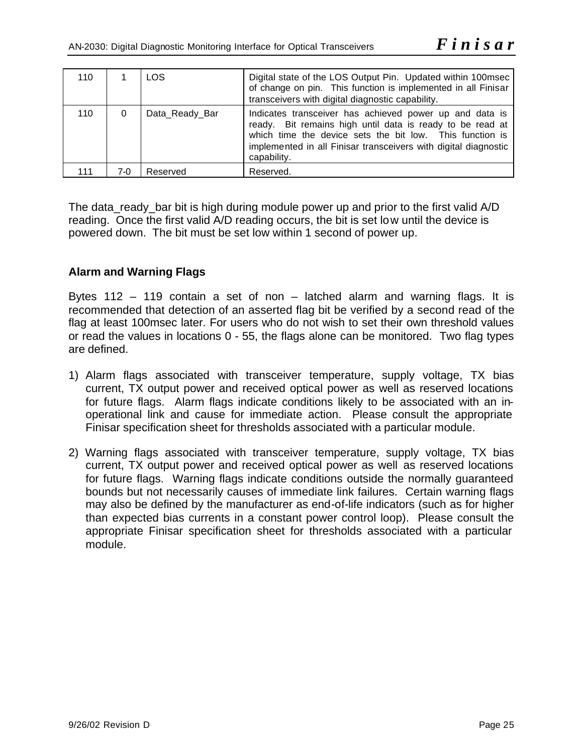| 110 |      | <b>LOS</b>     | Digital state of the LOS Output Pin. Updated within 100msec<br>of change on pin. This function is implemented in all Finisar<br>transceivers with digital diagnostic capability.                                                                                   |
|-----|------|----------------|--------------------------------------------------------------------------------------------------------------------------------------------------------------------------------------------------------------------------------------------------------------------|
| 110 | 0    | Data_Ready_Bar | Indicates transceiver has achieved power up and data is<br>ready. Bit remains high until data is ready to be read at<br>which time the device sets the bit low. This function is<br>implemented in all Finisar transceivers with digital diagnostic<br>capability. |
| 111 | 7-0. | Reserved       | Reserved.                                                                                                                                                                                                                                                          |

The data ready bar bit is high during module power up and prior to the first valid A/D reading. Once the first valid A/D reading occurs, the bit is set low until the device is powered down. The bit must be set low within 1 second of power up.

### **Alarm and Warning Flags**

Bytes 112 – 119 contain a set of non – latched alarm and warning flags. It is recommended that detection of an asserted flag bit be verified by a second read of the flag at least 100msec later. For users who do not wish to set their own threshold values or read the values in locations 0 - 55, the flags alone can be monitored. Two flag types are defined.

- 1) Alarm flags associated with transceiver temperature, supply voltage, TX bias current, TX output power and received optical power as well as reserved locations for future flags. Alarm flags indicate conditions likely to be associated with an inoperational link and cause for immediate action. Please consult the appropriate Finisar specification sheet for thresholds associated with a particular module.
- 2) Warning flags associated with transceiver temperature, supply voltage, TX bias current, TX output power and received optical power as well as reserved locations for future flags. Warning flags indicate conditions outside the normally guaranteed bounds but not necessarily causes of immediate link failures. Certain warning flags may also be defined by the manufacturer as end-of-life indicators (such as for higher than expected bias currents in a constant power control loop). Please consult the appropriate Finisar specification sheet for thresholds associated with a particular module.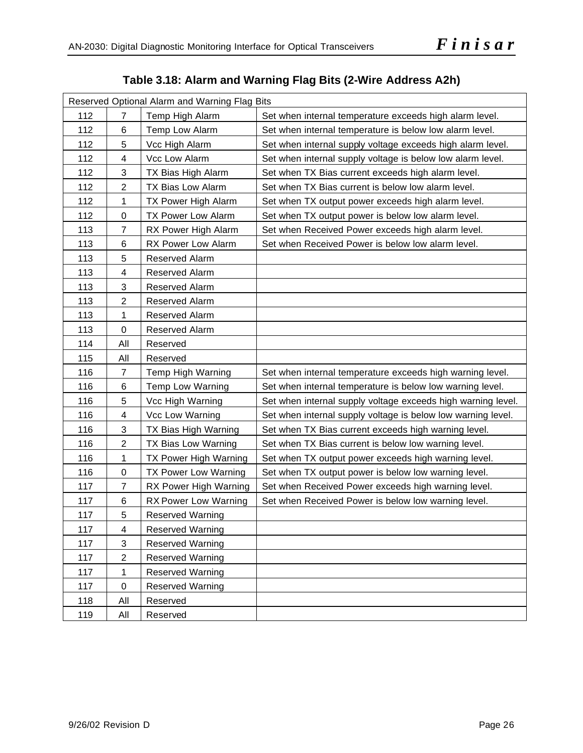# **Table 3.18: Alarm and Warning Flag Bits (2-Wire Address A2h)**

| Reserved Optional Alarm and Warning Flag Bits |                |                                                                            |                                                              |  |  |  |
|-----------------------------------------------|----------------|----------------------------------------------------------------------------|--------------------------------------------------------------|--|--|--|
| 112                                           | 7              | Temp High Alarm<br>Set when internal temperature exceeds high alarm level. |                                                              |  |  |  |
| 112                                           | 6              | Temp Low Alarm                                                             | Set when internal temperature is below low alarm level.      |  |  |  |
| 112                                           | 5              | Vcc High Alarm                                                             | Set when internal supply voltage exceeds high alarm level.   |  |  |  |
| 112                                           | 4              | Vcc Low Alarm                                                              | Set when internal supply voltage is below low alarm level.   |  |  |  |
| 112                                           | 3              | TX Bias High Alarm                                                         | Set when TX Bias current exceeds high alarm level.           |  |  |  |
| 112                                           | $\overline{c}$ | TX Bias Low Alarm                                                          | Set when TX Bias current is below low alarm level.           |  |  |  |
| 112                                           | 1              | TX Power High Alarm                                                        | Set when TX output power exceeds high alarm level.           |  |  |  |
| 112                                           | $\pmb{0}$      | <b>TX Power Low Alarm</b>                                                  | Set when TX output power is below low alarm level.           |  |  |  |
| 113                                           | $\overline{7}$ | RX Power High Alarm                                                        | Set when Received Power exceeds high alarm level.            |  |  |  |
| 113                                           | 6              | RX Power Low Alarm                                                         | Set when Received Power is below low alarm level.            |  |  |  |
| 113                                           | 5              | Reserved Alarm                                                             |                                                              |  |  |  |
| 113                                           | 4              | Reserved Alarm                                                             |                                                              |  |  |  |
| 113                                           | 3              | Reserved Alarm                                                             |                                                              |  |  |  |
| 113                                           | $\overline{2}$ | Reserved Alarm                                                             |                                                              |  |  |  |
| 113                                           | 1              | Reserved Alarm                                                             |                                                              |  |  |  |
| 113                                           | $\pmb{0}$      | Reserved Alarm                                                             |                                                              |  |  |  |
| 114                                           | All            | Reserved                                                                   |                                                              |  |  |  |
| 115                                           | All            | Reserved                                                                   |                                                              |  |  |  |
| 116                                           | $\overline{7}$ | Temp High Warning                                                          | Set when internal temperature exceeds high warning level.    |  |  |  |
| 116                                           | 6              | Temp Low Warning                                                           | Set when internal temperature is below low warning level.    |  |  |  |
| 116                                           | 5              | Vcc High Warning                                                           | Set when internal supply voltage exceeds high warning level. |  |  |  |
| 116                                           | 4              | Vcc Low Warning                                                            | Set when internal supply voltage is below low warning level. |  |  |  |
| 116                                           | 3              | TX Bias High Warning                                                       | Set when TX Bias current exceeds high warning level.         |  |  |  |
| 116                                           | $\overline{c}$ | TX Bias Low Warning                                                        | Set when TX Bias current is below low warning level.         |  |  |  |
| 116                                           | 1              | TX Power High Warning                                                      | Set when TX output power exceeds high warning level.         |  |  |  |
| 116                                           | $\pmb{0}$      | TX Power Low Warning                                                       | Set when TX output power is below low warning level.         |  |  |  |
| 117                                           | $\overline{7}$ | RX Power High Warning                                                      | Set when Received Power exceeds high warning level.          |  |  |  |
| 117                                           | 6              | <b>RX Power Low Warning</b>                                                | Set when Received Power is below low warning level.          |  |  |  |
| 117                                           | 5              | <b>Reserved Warning</b>                                                    |                                                              |  |  |  |
| 117                                           | 4              | Reserved Warning                                                           |                                                              |  |  |  |
| 117                                           | 3              | <b>Reserved Warning</b>                                                    |                                                              |  |  |  |
| 117                                           | $\overline{2}$ | Reserved Warning                                                           |                                                              |  |  |  |
| 117                                           | 1              | Reserved Warning                                                           |                                                              |  |  |  |
| 117                                           | $\pmb{0}$      | Reserved Warning                                                           |                                                              |  |  |  |
| 118                                           | All            | Reserved                                                                   |                                                              |  |  |  |
| 119                                           | All            | Reserved                                                                   |                                                              |  |  |  |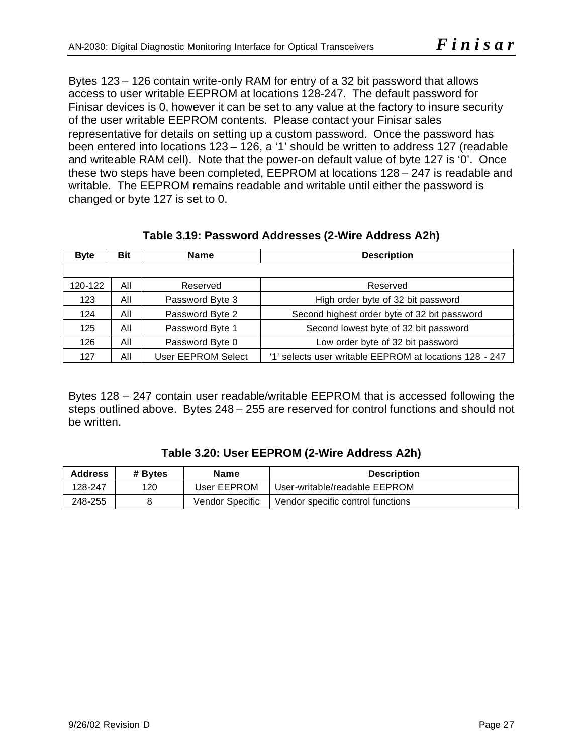Bytes 123 – 126 contain write-only RAM for entry of a 32 bit password that allows access to user writable EEPROM at locations 128-247. The default password for Finisar devices is 0, however it can be set to any value at the factory to insure security of the user writable EEPROM contents. Please contact your Finisar sales representative for details on setting up a custom password. Once the password has been entered into locations 123 – 126, a '1' should be written to address 127 (readable and writeable RAM cell). Note that the power-on default value of byte 127 is '0'. Once these two steps have been completed, EEPROM at locations 128 – 247 is readable and writable. The EEPROM remains readable and writable until either the password is changed or byte 127 is set to 0.

| <b>Byte</b> | <b>Bit</b><br><b>Name</b>                                   |                    | <b>Description</b>                                      |  |  |  |  |
|-------------|-------------------------------------------------------------|--------------------|---------------------------------------------------------|--|--|--|--|
|             |                                                             |                    |                                                         |  |  |  |  |
| 120-122     | All                                                         | Reserved           | Reserved                                                |  |  |  |  |
| 123         | All                                                         | Password Byte 3    | High order byte of 32 bit password                      |  |  |  |  |
| 124         | All                                                         | Password Byte 2    | Second highest order byte of 32 bit password            |  |  |  |  |
| 125         | All<br>Password Byte 1                                      |                    | Second lowest byte of 32 bit password                   |  |  |  |  |
| 126         | All<br>Password Byte 0<br>Low order byte of 32 bit password |                    |                                                         |  |  |  |  |
| 127         | All                                                         | User EEPROM Select | '1' selects user writable EEPROM at locations 128 - 247 |  |  |  |  |

**Table 3.19: Password Addresses (2-Wire Address A2h)**

Bytes 128 – 247 contain user readable/writable EEPROM that is accessed following the steps outlined above. Bytes 248 – 255 are reserved for control functions and should not be written.

| Table 3.20: User EEPROM (2-Wire Address A2h) |  |
|----------------------------------------------|--|
|----------------------------------------------|--|

| <b>Address</b> | # Bytes | Name            | <b>Description</b>                |  |  |  |
|----------------|---------|-----------------|-----------------------------------|--|--|--|
| 128-247        | 120     | User EEPROM     | User-writable/readable EEPROM     |  |  |  |
| 248-255        |         | Vendor Specific | Vendor specific control functions |  |  |  |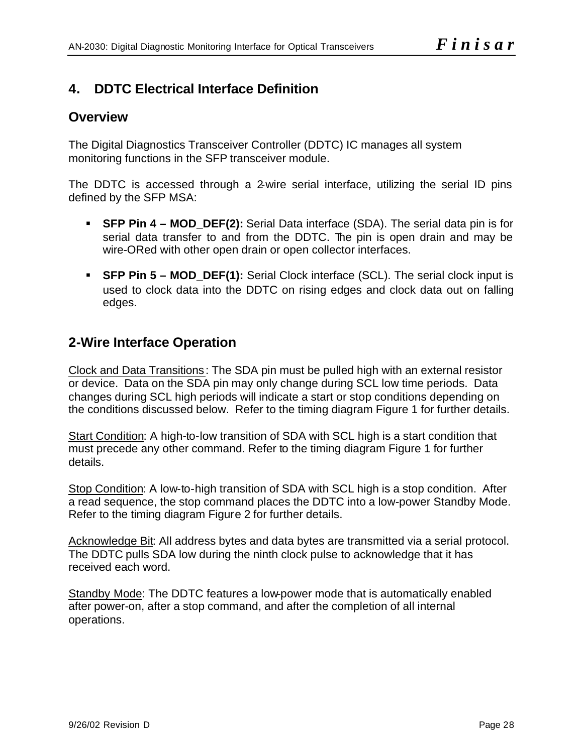# **4. DDTC Electrical Interface Definition**

# **Overview**

The Digital Diagnostics Transceiver Controller (DDTC) IC manages all system monitoring functions in the SFP transceiver module.

The DDTC is accessed through a 2-wire serial interface, utilizing the serial ID pins defined by the SFP MSA:

- ß **SFP Pin 4 MOD\_DEF(2):** Serial Data interface (SDA). The serial data pin is for serial data transfer to and from the DDTC. The pin is open drain and may be wire-ORed with other open drain or open collector interfaces.
- ß **SFP Pin 5 MOD\_DEF(1):** Serial Clock interface (SCL). The serial clock input is used to clock data into the DDTC on rising edges and clock data out on falling edges.

# **2-Wire Interface Operation**

Clock and Data Transitions: The SDA pin must be pulled high with an external resistor or device. Data on the SDA pin may only change during SCL low time periods. Data changes during SCL high periods will indicate a start or stop conditions depending on the conditions discussed below. Refer to the timing diagram Figure 1 for further details.

Start Condition: A high-to-low transition of SDA with SCL high is a start condition that must precede any other command. Refer to the timing diagram Figure 1 for further details.

Stop Condition: A low-to-high transition of SDA with SCL high is a stop condition. After a read sequence, the stop command places the DDTC into a low-power Standby Mode. Refer to the timing diagram Figure 2 for further details.

Acknowledge Bit: All address bytes and data bytes are transmitted via a serial protocol. The DDTC pulls SDA low during the ninth clock pulse to acknowledge that it has received each word.

Standby Mode: The DDTC features a low-power mode that is automatically enabled after power-on, after a stop command, and after the completion of all internal operations.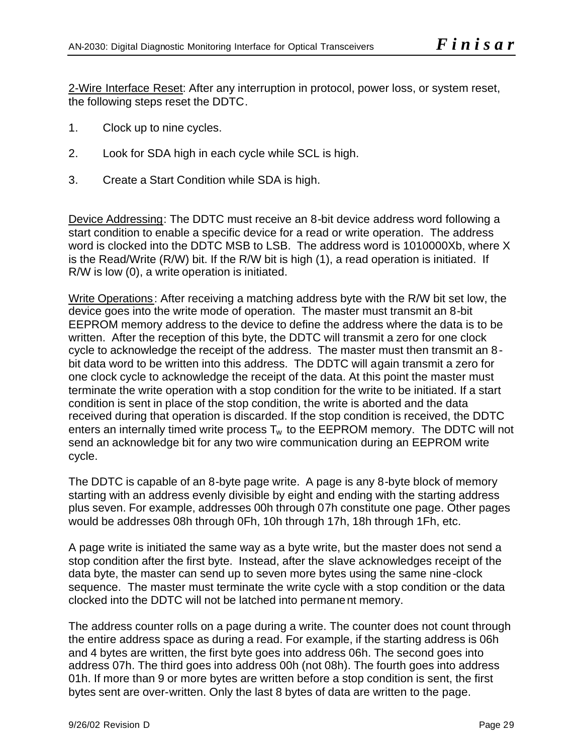2-Wire Interface Reset: After any interruption in protocol, power loss, or system reset, the following steps reset the DDTC.

- 1. Clock up to nine cycles.
- 2. Look for SDA high in each cycle while SCL is high.
- 3. Create a Start Condition while SDA is high.

Device Addressing: The DDTC must receive an 8-bit device address word following a start condition to enable a specific device for a read or write operation. The address word is clocked into the DDTC MSB to LSB. The address word is 1010000Xb, where X is the Read/Write (R/W) bit. If the R/W bit is high (1), a read operation is initiated. If R/W is low (0), a write operation is initiated.

Write Operations: After receiving a matching address byte with the R/W bit set low, the device goes into the write mode of operation. The master must transmit an 8-bit EEPROM memory address to the device to define the address where the data is to be written. After the reception of this byte, the DDTC will transmit a zero for one clock cycle to acknowledge the receipt of the address. The master must then transmit an 8 bit data word to be written into this address. The DDTC will again transmit a zero for one clock cycle to acknowledge the receipt of the data. At this point the master must terminate the write operation with a stop condition for the write to be initiated. If a start condition is sent in place of the stop condition, the write is aborted and the data received during that operation is discarded. If the stop condition is received, the DDTC enters an internally timed write process  $T_w$  to the EEPROM memory. The DDTC will not send an acknowledge bit for any two wire communication during an EEPROM write cycle.

The DDTC is capable of an 8-byte page write. A page is any 8-byte block of memory starting with an address evenly divisible by eight and ending with the starting address plus seven. For example, addresses 00h through 07h constitute one page. Other pages would be addresses 08h through 0Fh, 10h through 17h, 18h through 1Fh, etc.

A page write is initiated the same way as a byte write, but the master does not send a stop condition after the first byte. Instead, after the slave acknowledges receipt of the data byte, the master can send up to seven more bytes using the same nine-clock sequence. The master must terminate the write cycle with a stop condition or the data clocked into the DDTC will not be latched into permanent memory.

The address counter rolls on a page during a write. The counter does not count through the entire address space as during a read. For example, if the starting address is 06h and 4 bytes are written, the first byte goes into address 06h. The second goes into address 07h. The third goes into address 00h (not 08h). The fourth goes into address 01h. If more than 9 or more bytes are written before a stop condition is sent, the first bytes sent are over-written. Only the last 8 bytes of data are written to the page.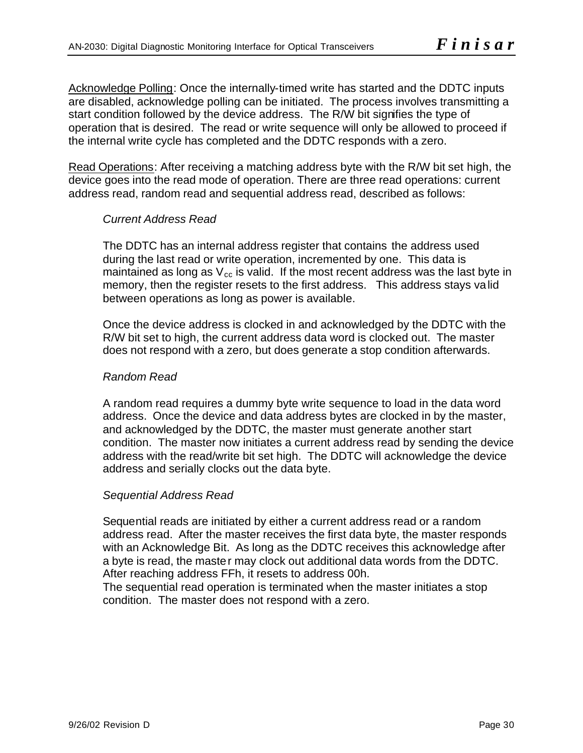Acknowledge Polling: Once the internally-timed write has started and the DDTC inputs are disabled, acknowledge polling can be initiated. The process involves transmitting a start condition followed by the device address. The R/W bit signifies the type of operation that is desired. The read or write sequence will only be allowed to proceed if the internal write cycle has completed and the DDTC responds with a zero.

Read Operations: After receiving a matching address byte with the R/W bit set high, the device goes into the read mode of operation. There are three read operations: current address read, random read and sequential address read, described as follows:

### *Current Address Read*

The DDTC has an internal address register that contains the address used during the last read or write operation, incremented by one. This data is maintained as long as  $V_{cc}$  is valid. If the most recent address was the last byte in memory, then the register resets to the first address. This address stays valid between operations as long as power is available.

Once the device address is clocked in and acknowledged by the DDTC with the R/W bit set to high, the current address data word is clocked out. The master does not respond with a zero, but does generate a stop condition afterwards.

### *Random Read*

A random read requires a dummy byte write sequence to load in the data word address. Once the device and data address bytes are clocked in by the master, and acknowledged by the DDTC, the master must generate another start condition. The master now initiates a current address read by sending the device address with the read/write bit set high. The DDTC will acknowledge the device address and serially clocks out the data byte.

### *Sequential Address Read*

Sequential reads are initiated by either a current address read or a random address read. After the master receives the first data byte, the master responds with an Acknowledge Bit. As long as the DDTC receives this acknowledge after a byte is read, the master may clock out additional data words from the DDTC. After reaching address FFh, it resets to address 00h.

The sequential read operation is terminated when the master initiates a stop condition. The master does not respond with a zero.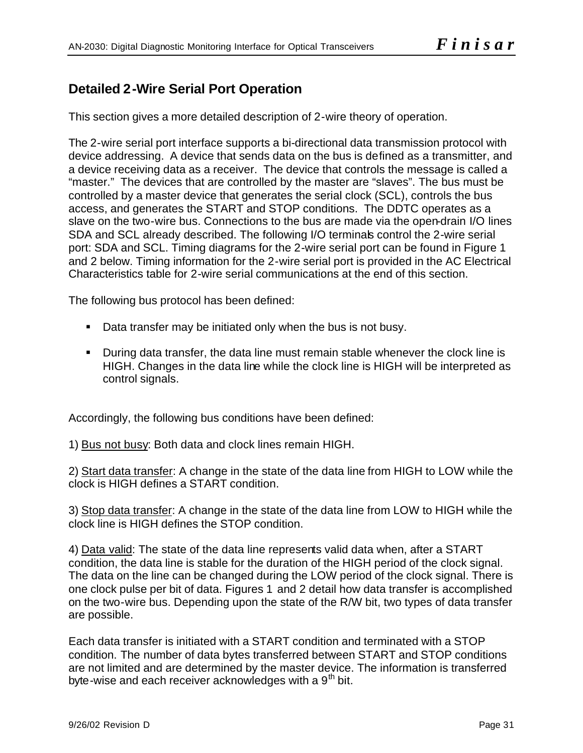# **Detailed 2-Wire Serial Port Operation**

This section gives a more detailed description of 2-wire theory of operation.

The 2-wire serial port interface supports a bi-directional data transmission protocol with device addressing. A device that sends data on the bus is defined as a transmitter, and a device receiving data as a receiver. The device that controls the message is called a "master." The devices that are controlled by the master are "slaves". The bus must be controlled by a master device that generates the serial clock (SCL), controls the bus access, and generates the START and STOP conditions. The DDTC operates as a slave on the two-wire bus. Connections to the bus are made via the open-drain I/O lines SDA and SCL already described. The following I/O terminals control the 2-wire serial port: SDA and SCL. Timing diagrams for the 2-wire serial port can be found in Figure 1 and 2 below. Timing information for the 2-wire serial port is provided in the AC Electrical Characteristics table for 2-wire serial communications at the end of this section.

The following bus protocol has been defined:

- Data transfer may be initiated only when the bus is not busy.
- **During data transfer, the data line must remain stable whenever the clock line is** HIGH. Changes in the data line while the clock line is HIGH will be interpreted as control signals.

Accordingly, the following bus conditions have been defined:

1) Bus not busy: Both data and clock lines remain HIGH.

2) Start data transfer: A change in the state of the data line from HIGH to LOW while the clock is HIGH defines a START condition.

3) Stop data transfer: A change in the state of the data line from LOW to HIGH while the clock line is HIGH defines the STOP condition.

4) Data valid: The state of the data line represents valid data when, after a START condition, the data line is stable for the duration of the HIGH period of the clock signal. The data on the line can be changed during the LOW period of the clock signal. There is one clock pulse per bit of data. Figures 1 and 2 detail how data transfer is accomplished on the two-wire bus. Depending upon the state of the R/W bit, two types of data transfer are possible.

Each data transfer is initiated with a START condition and terminated with a STOP condition. The number of data bytes transferred between START and STOP conditions are not limited and are determined by the master device. The information is transferred byte-wise and each receiver acknowledges with a  $9<sup>th</sup>$  bit.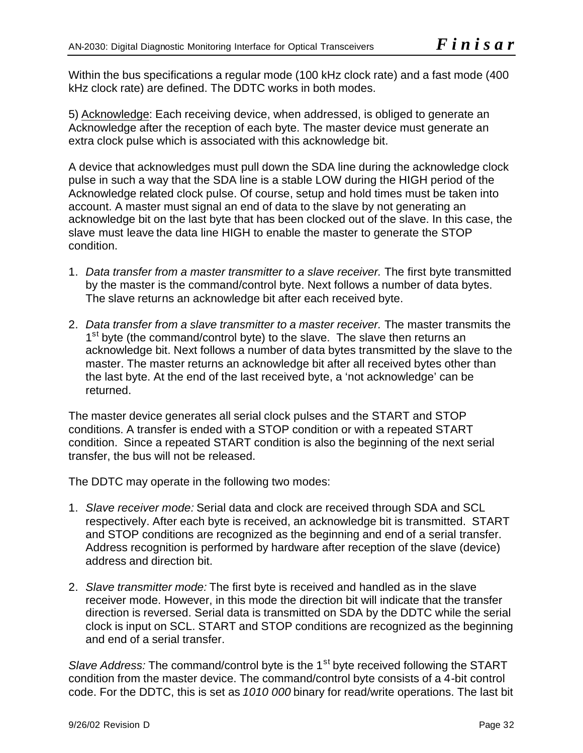Within the bus specifications a regular mode (100 kHz clock rate) and a fast mode (400 kHz clock rate) are defined. The DDTC works in both modes.

5) Acknowledge: Each receiving device, when addressed, is obliged to generate an Acknowledge after the reception of each byte. The master device must generate an extra clock pulse which is associated with this acknowledge bit.

A device that acknowledges must pull down the SDA line during the acknowledge clock pulse in such a way that the SDA line is a stable LOW during the HIGH period of the Acknowledge related clock pulse. Of course, setup and hold times must be taken into account. A master must signal an end of data to the slave by not generating an acknowledge bit on the last byte that has been clocked out of the slave. In this case, the slave must leave the data line HIGH to enable the master to generate the STOP condition.

- 1. *Data transfer from a master transmitter to a slave receiver.* The first byte transmitted by the master is the command/control byte. Next follows a number of data bytes. The slave returns an acknowledge bit after each received byte.
- 2. *Data transfer from a slave transmitter to a master receiver.* The master transmits the 1<sup>st</sup> byte (the command/control byte) to the slave. The slave then returns an acknowledge bit. Next follows a number of data bytes transmitted by the slave to the master. The master returns an acknowledge bit after all received bytes other than the last byte. At the end of the last received byte, a 'not acknowledge' can be returned.

The master device generates all serial clock pulses and the START and STOP conditions. A transfer is ended with a STOP condition or with a repeated START condition. Since a repeated START condition is also the beginning of the next serial transfer, the bus will not be released.

The DDTC may operate in the following two modes:

- 1. *Slave receiver mode:* Serial data and clock are received through SDA and SCL respectively. After each byte is received, an acknowledge bit is transmitted. START and STOP conditions are recognized as the beginning and end of a serial transfer. Address recognition is performed by hardware after reception of the slave (device) address and direction bit.
- 2. *Slave transmitter mode:* The first byte is received and handled as in the slave receiver mode. However, in this mode the direction bit will indicate that the transfer direction is reversed. Serial data is transmitted on SDA by the DDTC while the serial clock is input on SCL. START and STOP conditions are recognized as the beginning and end of a serial transfer.

*Slave Address:* The command/control byte is the 1<sup>st</sup> byte received following the START condition from the master device. The command/control byte consists of a 4-bit control code. For the DDTC, this is set as *1010 000* binary for read/write operations. The last bit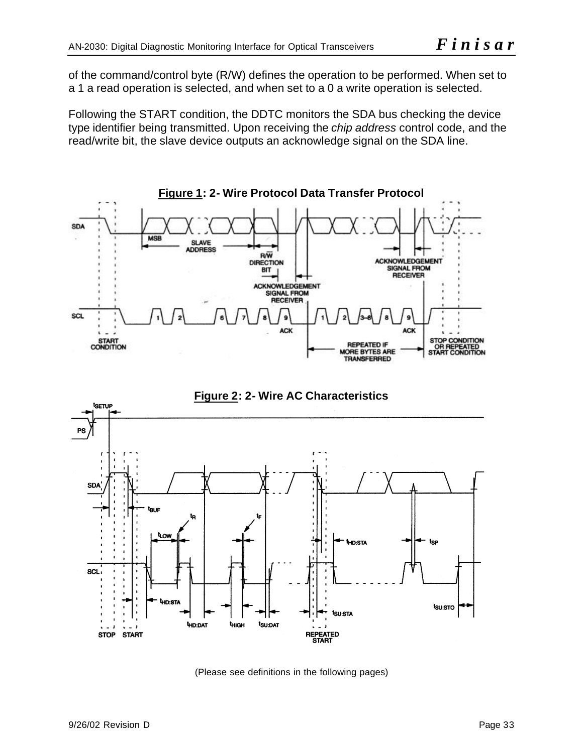of the command/control byte (R/W) defines the operation to be performed. When set to a 1 a read operation is selected, and when set to a 0 a write operation is selected.

Following the START condition, the DDTC monitors the SDA bus checking the device type identifier being transmitted. Upon receiving the *chip address* control code, and the read/write bit, the slave device outputs an acknowledge signal on the SDA line.





(Please see definitions in the following pages)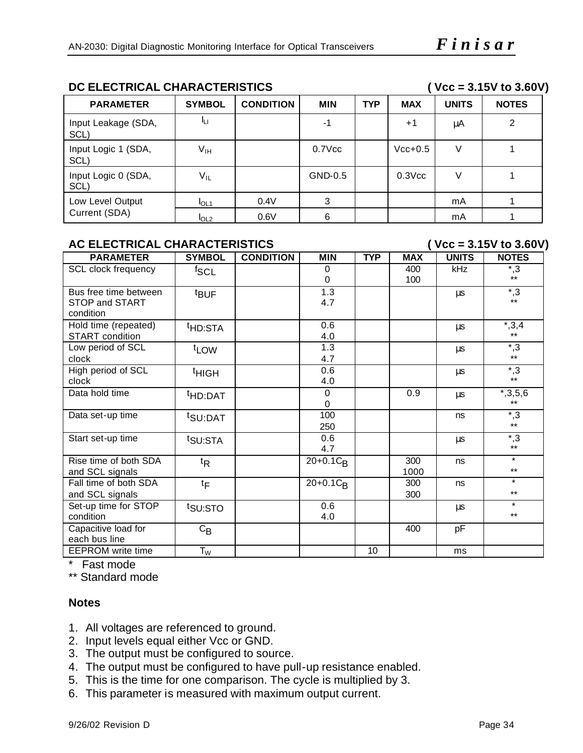# **DC ELECTRICAL CHARACTERISTICS ( Vcc = 3.15V to 3.60V)**

| <b>PARAMETER</b>            | <b>SYMBOL</b>    | <b>CONDITION</b> | <b>MIN</b>        | <b>TYP</b> | <b>MAX</b>  | <b>UNITS</b> | <b>NOTES</b> |
|-----------------------------|------------------|------------------|-------------------|------------|-------------|--------------|--------------|
| Input Leakage (SDA,<br>SCL) | Iц               |                  | -1                |            | $+1$        | μA           | 2            |
| Input Logic 1 (SDA,<br>SCL) | V <sub>IH</sub>  |                  | $0.7$ $\sqrt{cc}$ |            | $Vcc+0.5$   | V            |              |
| Input Logic 0 (SDA,<br>SCL) | $V_{IL}$         |                  | GND-0.5           |            | $0.3$ $Vcc$ |              |              |
| Low Level Output            | I <sub>OL1</sub> | 0.4V             | 3                 |            |             | mA           |              |
| Current (SDA)               | I <sub>OL2</sub> | 0.6V             | 6                 |            |             | mA           |              |

# AC ELECTRICAL CHARACTERISTICS (  $Vcc = 3.15V$  to 3.60V)

| <b>PARAMETER</b>         | <b>SYMBOL</b>       | <b>CONDITION</b> | <b>MIN</b>                         | <b>TYP</b> | <b>MAX</b> | <b>UNITS</b> | <b>NOTES</b>   |
|--------------------------|---------------------|------------------|------------------------------------|------------|------------|--------------|----------------|
| SCL clock frequency      | <sup>f</sup> SCL    |                  | 0                                  |            | 400        | kHz          | $^{\ast},3$    |
|                          |                     |                  | 0                                  |            | 100        |              | $***$          |
| Bus free time between    | <sup>t</sup> BUF    |                  | 1.3                                |            |            | μs           | $\overline{3}$ |
| STOP and START           |                     |                  | 4.7                                |            |            |              | $***$          |
| condition                |                     |                  |                                    |            |            |              |                |
| Hold time (repeated)     | <sup>t</sup> HD:STA |                  | 0.6                                |            |            | μs           | $^*,3,4$       |
| <b>START</b> condition   |                     |                  | 4.0                                |            |            |              | $***$          |
| Low period of SCL        | t <sub>LOW</sub>    |                  | 1.3                                |            |            | μs           | $^{\ast},3$    |
| clock                    |                     |                  | 4.7                                |            |            |              | $***$          |
| High period of SCL       | <sup>t</sup> HIGH   |                  | 0.6                                |            |            | μs           | $^{\ast},3$    |
| clock                    |                     |                  | 4.0                                |            |            |              | $***$          |
| Data hold time           | <sup>t</sup> HD:DAT |                  | 0                                  |            | 0.9        | μs           | $*,3,5,6$      |
|                          |                     |                  | $\Omega$                           |            |            |              | $***$          |
| Data set-up time         | <sup>t</sup> SU:DAT |                  | 100                                |            |            | ns           | $^{\ast}$ ,3   |
|                          |                     |                  | 250                                |            |            |              | $***$          |
| Start set-up time        | t <sub>SU:STA</sub> |                  | 0.6                                |            |            | μs           | $^{\ast},3$    |
|                          |                     |                  | 4.7                                |            |            |              | $***$          |
| Rise time of both SDA    | ${}^{\text{t}}$ R   |                  | $20+0.1C_R$                        |            | 300        | ns           | $\star$        |
| and SCL signals          |                     |                  |                                    |            | 1000       |              | $***$          |
| Fall time of both SDA    | $t_{\mathsf{F}}$    |                  | $\overline{20} + 0.1 C_{\text{R}}$ |            | 300        | ns           | $\star$        |
| and SCL signals          |                     |                  |                                    |            | 300        |              | $***$          |
| Set-up time for STOP     | t <sub>SU:STO</sub> |                  | 0.6                                |            |            | μs           | $\star$        |
| condition                |                     |                  | 4.0                                |            |            |              | $***$          |
| Capacitive load for      | $C_{\mathsf{B}}$    |                  |                                    |            | 400        | pF           |                |
| each bus line            |                     |                  |                                    |            |            |              |                |
| <b>EEPROM</b> write time | $T_W$               |                  |                                    | 10         |            | ms           |                |

\* Fast mode

\*\* Standard mode

# **Notes**

- 1. All voltages are referenced to ground.
- 2. Input levels equal either Vcc or GND.
- 3. The output must be configured to source.
- 4. The output must be configured to have pull-up resistance enabled.
- 5. This is the time for one comparison. The cycle is multiplied by 3.
- 6. This parameter is measured with maximum output current.